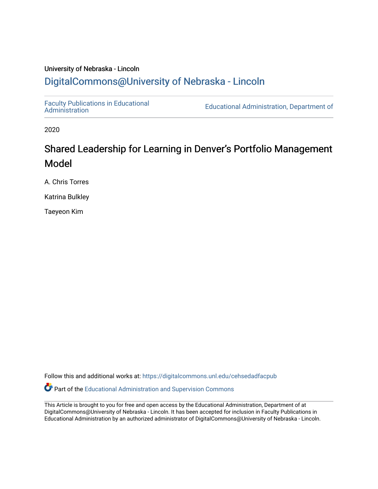# University of Nebraska - Lincoln [DigitalCommons@University of Nebraska - Lincoln](https://digitalcommons.unl.edu/)

[Faculty Publications in Educational](https://digitalcommons.unl.edu/cehsedadfacpub) 

**Educational Administration, Department of** 

2020

# Shared Leadership for Learning in Denver's Portfolio Management Model

A. Chris Torres

Katrina Bulkley

Taeyeon Kim

Follow this and additional works at: [https://digitalcommons.unl.edu/cehsedadfacpub](https://digitalcommons.unl.edu/cehsedadfacpub?utm_source=digitalcommons.unl.edu%2Fcehsedadfacpub%2F138&utm_medium=PDF&utm_campaign=PDFCoverPages) 

**P** Part of the [Educational Administration and Supervision Commons](http://network.bepress.com/hgg/discipline/787?utm_source=digitalcommons.unl.edu%2Fcehsedadfacpub%2F138&utm_medium=PDF&utm_campaign=PDFCoverPages)

This Article is brought to you for free and open access by the Educational Administration, Department of at DigitalCommons@University of Nebraska - Lincoln. It has been accepted for inclusion in Faculty Publications in Educational Administration by an authorized administrator of DigitalCommons@University of Nebraska - Lincoln.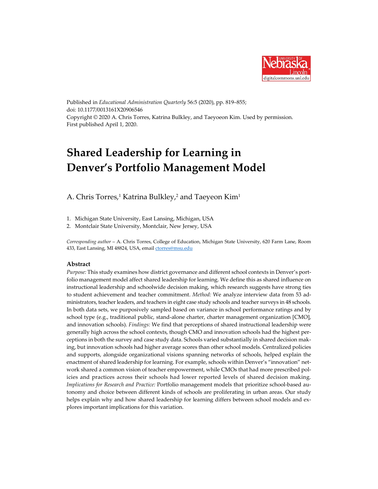

Published in *Educational Administration Quarterly* 56:5 (2020), pp. 819–855; doi: 10.1177/0013161X20906546 Copyright © 2020 A. Chris Torres, Katrina Bulkley, and Taeyoeon Kim. Used by permission. First published April 1, 2020.

# **Shared Leadership for Learning in Denver's Portfolio Management Model**

A. Chris Torres, <sup>1</sup> Katrina Bulkley, <sup>2</sup> and Taeyeon Kim1

- 1. Michigan State University, East Lansing, Michigan, USA
- 2. Montclair State University, Montclair, New Jersey, USA

*Corresponding author* – A. Chris Torres, College of Education, Michigan State University, 620 Farm Lane, Room 433, East Lansing, MI 48824, USA, email [ctorres@msu.edu](mailto:ctorres@msu.edu)

# **Abstract**

*Purpose:* This study examines how district governance and different school contexts in Denver's portfolio management model affect shared leadership for learning. We define this as shared influence on instructional leadership and schoolwide decision making, which research suggests have strong ties to student achievement and teacher commitment. *Method:* We analyze interview data from 53 administrators, teacher leaders, and teachers in eight case study schools and teacher surveys in 48 schools. In both data sets, we purposively sampled based on variance in school performance ratings and by school type (e.g., traditional public, stand-alone charter, charter management organization [CMO], and innovation schools). *Findings:* We find that perceptions of shared instructional leadership were generally high across the school contexts, though CMO and innovation schools had the highest perceptions in both the survey and case study data. Schools varied substantially in shared decision making, but innovation schools had higher average scores than other school models. Centralized policies and supports, alongside organizational visions spanning networks of schools, helped explain the enactment of shared leadership for learning. For example, schools within Denver's "innovation" network shared a common vision of teacher empowerment, while CMOs that had more prescribed policies and practices across their schools had lower reported levels of shared decision making. *Implications for Research and Practice:* Portfolio management models that prioritize school-based autonomy and choice between different kinds of schools are proliferating in urban areas. Our study helps explain why and how shared leadership for learning differs between school models and explores important implications for this variation.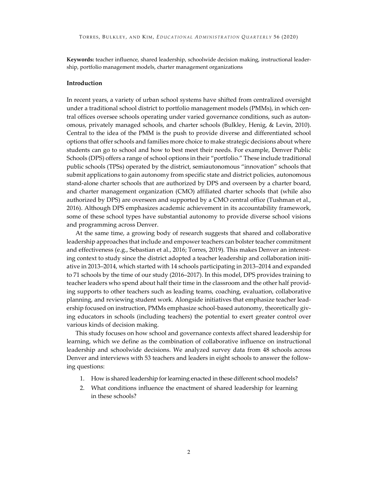**Keywords:** teacher influence, shared leadership, schoolwide decision making, instructional leadership, portfolio management models, charter management organizations

# **Introduction**

In recent years, a variety of urban school systems have shifted from centralized oversight under a traditional school district to portfolio management models (PMMs), in which central offices oversee schools operating under varied governance conditions, such as autonomous, privately managed schools, and charter schools (Bulkley, Henig, & Levin, 2010). Central to the idea of the PMM is the push to provide diverse and differentiated school options that offer schools and families more choice to make strategic decisions about where students can go to school and how to best meet their needs. For example, Denver Public Schools (DPS) offers a range of school options in their "portfolio." These include traditional public schools (TPSs) operated by the district, semiautonomous "innovation" schools that submit applications to gain autonomy from specific state and district policies, autonomous stand-alone charter schools that are authorized by DPS and overseen by a charter board, and charter management organization (CMO) affiliated charter schools that (while also authorized by DPS) are overseen and supported by a CMO central office (Tushman et al., 2016). Although DPS emphasizes academic achievement in its accountability framework, some of these school types have substantial autonomy to provide diverse school visions and programming across Denver.

At the same time, a growing body of research suggests that shared and collaborative leadership approaches that include and empower teachers can bolster teacher commitment and effectiveness (e.g., Sebastian et al., 2016; Torres, 2019). This makes Denver an interesting context to study since the district adopted a teacher leadership and collaboration initiative in 2013–2014, which started with 14 schools participating in 2013–2014 and expanded to 71 schools by the time of our study (2016–2017). In this model, DPS provides training to teacher leaders who spend about half their time in the classroom and the other half providing supports to other teachers such as leading teams, coaching, evaluation, collaborative planning, and reviewing student work. Alongside initiatives that emphasize teacher leadership focused on instruction, PMMs emphasize school-based autonomy, theoretically giving educators in schools (including teachers) the potential to exert greater control over various kinds of decision making.

This study focuses on how school and governance contexts affect shared leadership for learning, which we define as the combination of collaborative influence on instructional leadership and schoolwide decisions. We analyzed survey data from 48 schools across Denver and interviews with 53 teachers and leaders in eight schools to answer the following questions:

- 1. How is shared leadership for learning enacted in these different school models?
- 2. What conditions influence the enactment of shared leadership for learning in these schools?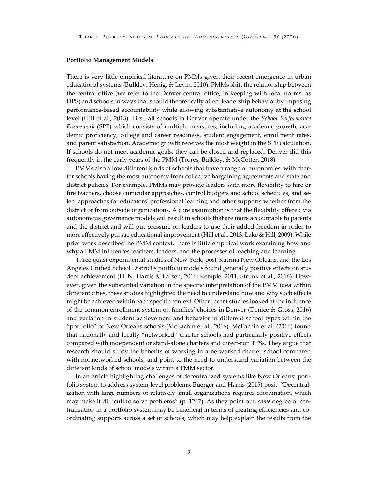#### **Portfolio Management Models**

There is very little empirical literature on PMMs given their recent emergence in urban educational systems (Bulkley, Henig, & Levin, 2010). PMMs shift the relationship between the central office (we refer to the Denver central office, in keeping with local norms, as DPS) and schools in ways that should theoretically affect leadership behavior by imposing performance-based accountability while allowing substantiative autonomy at the school level (Hill et al., 2013). First, all schools in Denver operate under the *School Performance Framework* (SPF) which consists of multiple measures, including academic growth, academic proficiency, college and career readiness, student engagement, enrollment rates, and parent satisfaction. Academic growth receives the most weight in the SPF calculation. If schools do not meet academic goals, they can be closed and replaced. Denver did this frequently in the early years of the PMM (Torres, Bulkley, & McCotter, 2018).

PMMs also allow different kinds of schools that have a range of autonomies, with charter schools having the most autonomy from collective bargaining agreements and state and district policies. For example, PMMs may provide leaders with more flexibility to hire or fire teachers, choose curricular approaches, control budgets and school schedules, and select approaches for educators' professional learning and other supports whether from the district or from outside organizations. A core assumption is that the flexibility offered via autonomous governance models will result in schools that are more accountable to parents and the district and will put pressure on leaders to use their added freedom in order to more effectively pursue educational improvement (Hill et al., 2013; Lake & Hill, 2009). While prior work describes the PMM context, there is little empirical work examining how and why a PMM influences teachers, leaders, and the processes of teaching and learning.

Three quasi-experimental studies of New York, post-Katrina New Orleans, and the Los Angeles Unified School District's portfolio models found generally positive effects on student achievement (D. N. Harris & Larsen, 2016; Kemple, 2011; Strunk et al., 2016). However, given the substantial variation in the specific interpretation of the PMM idea within different cities, these studies highlighted the need to understand how and why such effects might be achieved within each specific context. Other recent studies looked at the influence of the common enrollment system on families' choices in Denver (Denice & Gross, 2016) and variation in student achievement and behavior in different school types within the "portfolio" of New Orleans schools (McEachin et al., 2016). McEachin et al. (2016) found that nationally and locally "networked" charter schools had particularly positive effects compared with independent or stand-alone charters and direct-run TPSs. They argue that research should study the benefits of working in a networked charter school compared with nonnetworked schools, and point to the need to understand variation between the different kinds of school models within a PMM sector.

In an article highlighting challenges of decentralized systems like New Orleans' portfolio system to address system-level problems, Buerger and Harris (2015) posit: "Decentralization with large numbers of relatively small organizations requires coordination, which may make it difficult to solve problems" (p. 1247). As they point out, *some* degree of centralization in a portfolio system may be beneficial in terms of creating efficiencies and coordinating supports across a set of schools, which may help explain the results from the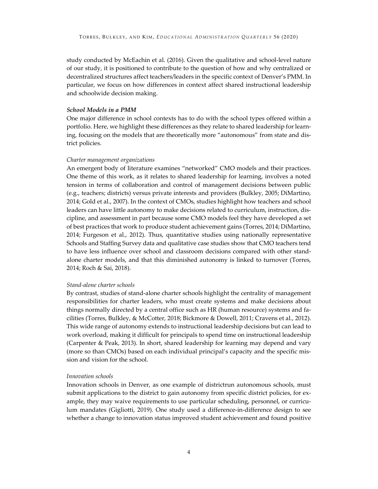study conducted by McEachin et al. (2016). Given the qualitative and school-level nature of our study, it is positioned to contribute to the question of how and why centralized or decentralized structures affect teachers/leaders in the specific context of Denver's PMM. In particular, we focus on how differences in context affect shared instructional leadership and schoolwide decision making.

# *School Models in a PMM*

One major difference in school contexts has to do with the school types offered within a portfolio. Here, we highlight these differences as they relate to shared leadership for learning, focusing on the models that are theoretically more "autonomous" from state and district policies.

### *Charter management organizations*

An emergent body of literature examines "networked" CMO models and their practices. One theme of this work, as it relates to shared leadership for learning, involves a noted tension in terms of collaboration and control of management decisions between public (e.g., teachers; districts) versus private interests and providers (Bulkley, 2005; DiMartino, 2014; Gold et al., 2007). In the context of CMOs, studies highlight how teachers and school leaders can have little autonomy to make decisions related to curriculum, instruction, discipline, and assessment in part because some CMO models feel they have developed a set of best practices that work to produce student achievement gains (Torres, 2014; DiMartino, 2014; Furgeson et al., 2012). Thus, quantitative studies using nationally representative Schools and Staffing Survey data and qualitative case studies show that CMO teachers tend to have less influence over school and classroom decisions compared with other standalone charter models, and that this diminished autonomy is linked to turnover (Torres, 2014; Roch & Sai, 2018).

#### *Stand-alone charter schools*

By contrast, studies of stand-alone charter schools highlight the centrality of management responsibilities for charter leaders, who must create systems and make decisions about things normally directed by a central office such as HR (human resource) systems and facilities (Torres, Bulkley, & McCotter, 2018; Bickmore & Dowell, 2011; Cravens et al., 2012). This wide range of autonomy extends to instructional leadership decisions but can lead to work overload, making it difficult for principals to spend time on instructional leadership (Carpenter & Peak, 2013). In short, shared leadership for learning may depend and vary (more so than CMOs) based on each individual principal's capacity and the specific mission and vision for the school.

# *Innovation schools*

Innovation schools in Denver, as one example of districtrun autonomous schools, must submit applications to the district to gain autonomy from specific district policies, for example, they may waive requirements to use particular scheduling, personnel, or curriculum mandates (Gigliotti, 2019). One study used a difference-in-difference design to see whether a change to innovation status improved student achievement and found positive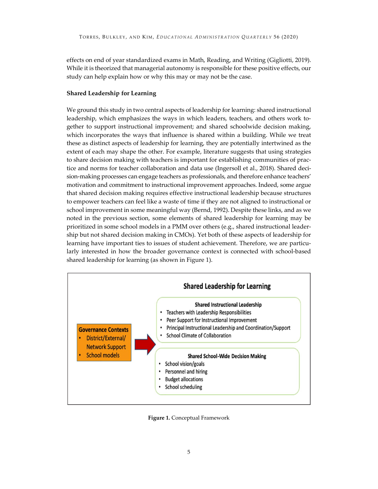effects on end of year standardized exams in Math, Reading, and Writing (Gigliotti, 2019). While it is theorized that managerial autonomy is responsible for these positive effects, our study can help explain how or why this may or may not be the case.

# **Shared Leadership for Learning**

We ground this study in two central aspects of leadership for learning: shared instructional leadership, which emphasizes the ways in which leaders, teachers, and others work together to support instructional improvement; and shared schoolwide decision making, which incorporates the ways that influence is shared within a building. While we treat these as distinct aspects of leadership for learning, they are potentially intertwined as the extent of each may shape the other. For example, literature suggests that using strategies to share decision making with teachers is important for establishing communities of practice and norms for teacher collaboration and data use (Ingersoll et al., 2018). Shared decision-making processes can engage teachers as professionals, and therefore enhance teachers' motivation and commitment to instructional improvement approaches. Indeed, some argue that shared decision making requires effective instructional leadership because structures to empower teachers can feel like a waste of time if they are not aligned to instructional or school improvement in some meaningful way (Bernd, 1992). Despite these links, and as we noted in the previous section, some elements of shared leadership for learning may be prioritized in some school models in a PMM over others (e.g., shared instructional leadership but not shared decision making in CMOs). Yet both of these aspects of leadership for learning have important ties to issues of student achievement. Therefore, we are particularly interested in how the broader governance context is connected with school-based shared leadership for learning (as shown in Figure 1).



**Figure 1.** Conceptual Framework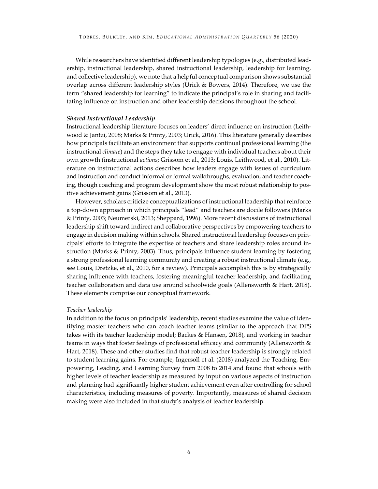While researchers have identified different leadership typologies (e.g., distributed leadership, instructional leadership, shared instructional leadership, leadership for learning, and collective leadership), we note that a helpful conceptual comparison shows substantial overlap across different leadership styles (Urick & Bowers, 2014). Therefore, we use the term "shared leadership for learning" to indicate the principal's role in sharing and facilitating influence on instruction and other leadership decisions throughout the school.

## *Shared Instructional Leadership*

Instructional leadership literature focuses on leaders' direct influence on instruction (Leithwood & Jantzi, 2008; Marks & Printy, 2003; Urick, 2016). This literature generally describes how principals facilitate an environment that supports continual professional learning (the instructional *climate*) and the steps they take to engage with individual teachers about their own growth (instructional *actions*; Grissom et al., 2013; Louis, Leithwood, et al., 2010). Literature on instructional actions describes how leaders engage with issues of curriculum and instruction and conduct informal or formal walkthroughs, evaluation, and teacher coaching, though coaching and program development show the most robust relationship to positive achievement gains (Grissom et al., 2013).

However, scholars criticize conceptualizations of instructional leadership that reinforce a top-down approach in which principals "lead" and teachers are docile followers (Marks & Printy, 2003; Neumerski, 2013; Sheppard, 1996). More recent discussions of instructional leadership shift toward indirect and collaborative perspectives by empowering teachers to engage in decision making within schools. Shared instructional leadership focuses on principals' efforts to integrate the expertise of teachers and share leadership roles around instruction (Marks & Printy, 2003). Thus, principals influence student learning by fostering a strong professional learning community and creating a robust instructional climate (e.g., see Louis, Dretzke, et al., 2010, for a review). Principals accomplish this is by strategically sharing influence with teachers, fostering meaningful teacher leadership, and facilitating teacher collaboration and data use around schoolwide goals (Allensworth & Hart, 2018). These elements comprise our conceptual framework.

#### *Teacher leadership*

In addition to the focus on principals' leadership, recent studies examine the value of identifying master teachers who can coach teacher teams (similar to the approach that DPS takes with its teacher leadership model; Backes & Hansen, 2018), and working in teacher teams in ways that foster feelings of professional efficacy and community (Allensworth & Hart, 2018). These and other studies find that robust teacher leadership is strongly related to student learning gains. For example, Ingersoll et al. (2018) analyzed the Teaching, Empowering, Leading, and Learning Survey from 2008 to 2014 and found that schools with higher levels of teacher leadership as measured by input on various aspects of instruction and planning had significantly higher student achievement even after controlling for school characteristics, including measures of poverty. Importantly, measures of shared decision making were also included in that study's analysis of teacher leadership.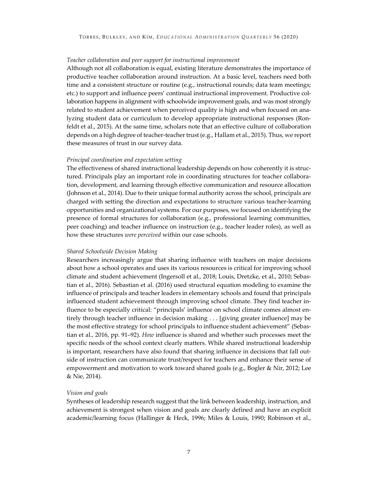### *Teacher collaboration and peer support for instructional improvement*

Although not all collaboration is equal, existing literature demonstrates the importance of productive teacher collaboration around instruction. At a basic level, teachers need both time and a consistent structure or routine (e.g., instructional rounds; data team meetings; etc.) to support and influence peers' continual instructional improvement. Productive collaboration happens in alignment with schoolwide improvement goals, and was most strongly related to student achievement when perceived quality is high and when focused on analyzing student data or curriculum to develop appropriate instructional responses (Ronfeldt et al., 2015). At the same time, scholars note that an effective culture of collaboration depends on a high degree of teacher-teacher trust (e.g., Hallam et al., 2015). Thus, we report these measures of trust in our survey data.

### *Principal coordination and expectation setting*

The effectiveness of shared instructional leadership depends on how coherently it is structured. Principals play an important role in coordinating structures for teacher collaboration, development, and learning through effective communication and resource allocation (Johnson et al., 2014). Due to their unique formal authority across the school, principals are charged with setting the direction and expectations to structure various teacher-learning opportunities and organizational systems. For our purposes, we focused on identifying the presence of formal structures for collaboration (e.g., professional learning communities, peer coaching) and teacher influence on instruction (e.g., teacher leader roles), as well as how these structures *were perceived* within our case schools.

#### *Shared Schoolwide Decision Making*

Researchers increasingly argue that sharing influence with teachers on major decisions about how a school operates and uses its various resources is critical for improving school climate and student achievement (Ingersoll et al., 2018; Louis, Dretzke, et al., 2010; Sebastian et al., 2016). Sebastian et al. (2016) used structural equation modeling to examine the influence of principals and teacher leaders in elementary schools and found that principals influenced student achievement through improving school climate. They find teacher influence to be especially critical: "principals' influence on school climate comes almost entirely through teacher influence in decision making . . . [giving greater influence] may be the most effective strategy for school principals to influence student achievement" (Sebastian et al., 2016, pp. 91–92). *How* influence is shared and whether such processes meet the specific needs of the school context clearly matters. While shared instructional leadership is important, researchers have also found that sharing influence in decisions that fall outside of instruction can communicate trust/respect for teachers and enhance their sense of empowerment and motivation to work toward shared goals (e.g., Bogler & Nir, 2012; Lee & Nie, 2014).

# *Vision and goals*

Syntheses of leadership research suggest that the link between leadership, instruction, and achievement is strongest when vision and goals are clearly defined and have an explicit academic/learning focus (Hallinger & Heck, 1996; Miles & Louis, 1990; Robinson et al.,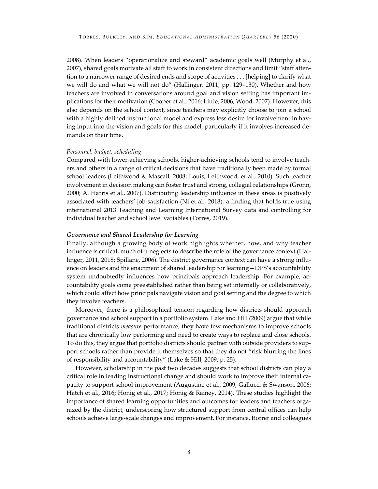2008). When leaders "operationalize and steward" academic goals well (Murphy et al., 2007), shared goals motivate all staff to work in consistent directions and limit "staff attention to a narrower range of desired ends and scope of activities . . . [helping] to clarify what we will do and what we will not do" (Hallinger, 2011, pp. 129–130). Whether and how teachers are involved in conversations around goal and vision setting has important implications for their motivation (Cooper et al., 2016; Little, 2006; Wood, 2007). However, this also depends on the school context, since teachers may explicitly choose to join a school with a highly defined instructional model and express less desire for involvement in having input into the vision and goals for this model, particularly if it involves increased demands on their time.

# *Personnel, budget, scheduling*

Compared with lower-achieving schools, higher-achieving schools tend to involve teachers and others in a range of critical decisions that have traditionally been made by formal school leaders (Leithwood & Mascall, 2008; Louis, Leithwood, et al., 2010). Such teacher involvement in decision making can foster trust and strong, collegial relationships (Gronn, 2000; A. Harris et al., 2007). Distributing leadership influence in these areas is positively associated with teachers' job satisfaction (Ni et al., 2018), a finding that holds true using international 2013 Teaching and Learning International Survey data and controlling for individual teacher and school level variables (Torres, 2019).

# *Governance and Shared Leadership for Learning*

Finally, although a growing body of work highlights whether, how, and why teacher influence is critical, much of it neglects to describe the role of the governance context (Hallinger, 2011, 2018; Spillane, 2006). The district governance context can have a strong influence on leaders and the enactment of shared leadership for learning—DPS's accountability system undoubtedly influences how principals approach leadership. For example, accountability goals come preestablished rather than being set internally or collaboratively, which could affect how principals navigate vision and goal setting and the degree to which they involve teachers.

Moreover, there is a philosophical tension regarding how districts should approach governance and school support in a portfolio system. Lake and Hill (2009) argue that while traditional districts *measure* performance, they have few mechanisms to improve schools that are chronically low performing and need to create ways to replace and close schools. To do this, they argue that portfolio districts should partner with outside providers to support schools rather than provide it themselves so that they do not "risk blurring the lines of responsibility and accountability" (Lake & Hill, 2009, p. 25).

However, scholarship in the past two decades suggests that school districts can play a critical role in leading instructional change and should work to improve their internal capacity to support school improvement (Augustine et al., 2009; Gallucci & Swanson, 2006; Hatch et al., 2016; Honig et al., 2017; Honig & Rainey, 2014). These studies highlight the importance of shared learning opportunities and outcomes for leaders and teachers organized by the district, underscoring how structured support from central offices can help schools achieve large-scale changes and improvement. For instance, Rorrer and colleagues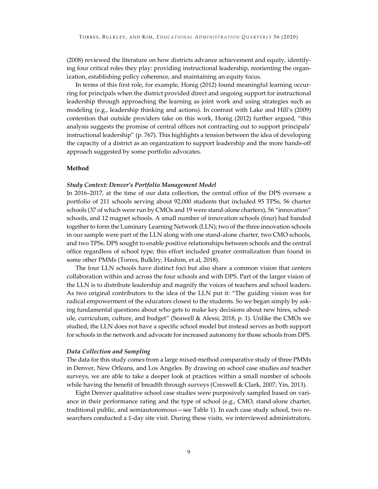(2008) reviewed the literature on how districts advance achievement and equity, identifying four critical roles they play: providing instructional leadership, reorienting the organization, establishing policy coherence, and maintaining an equity focus.

In terms of this first role, for example, Honig (2012) found meaningful learning occurring for principals when the district provided direct and ongoing support for instructional leadership through approaching the learning as joint work and using strategies such as modeling (e.g., leadership thinking and actions). In contrast with Lake and Hill's (2009) contention that outside providers take on this work, Honig (2012) further argued, "this analysis suggests the promise of central offices not contracting out to support principals' instructional leadership" (p. 767). This highlights a tension between the idea of developing the capacity of a district as an organization to support leadership and the more hands-off approach suggested by some portfolio advocates.

# **Method**

#### *Study Context: Denver's Portfolio Management Model*

In 2016–2017, at the time of our data collection, the central office of the DPS oversaw a portfolio of 211 schools serving about 92,000 students that included 95 TPSs, 56 charter schools (37 of which were run by CMOs and 19 were stand-alone charters), 56 "innovation" schools, and 12 magnet schools. A small number of innovation schools (four) had banded together to form the Luminary Learning Network (LLN); two of the three innovation schools in our sample were part of the LLN along with one stand-alone charter, two CMO schools, and two TPSs. DPS sought to enable positive relationships between schools and the central office regardless of school type; this effort included greater centralization than found in some other PMMs (Torres, Bulklry, Hashim, et al, 2018).

The four LLN schools have distinct foci but also share a common vision that centers collaboration within and across the four schools and with DPS. Part of the larger vision of the LLN is to distribute leadership and magnify the voices of teachers and school leaders. As two original contributors to the idea of the LLN put it: "The guiding vision was for radical empowerment of the educators closest to the students. So we began simply by asking fundamental questions about who gets to make key decisions about new hires, schedule, curriculum, culture, and budget" (Seawell & Alessi, 2018, p. 1). Unlike the CMOs we studied, the LLN does not have a specific school model but instead serves as both support for schools in the network and advocate for increased autonomy for those schools from DPS.

#### *Data Collection and Sampling*

The data for this study comes from a large mixed-method comparative study of three PMMs in Denver, New Orleans, and Los Angeles. By drawing on school case studies *and* teacher surveys, we are able to take a deeper look at practices within a small number of schools while having the benefit of breadth through surveys (Creswell & Clark, 2007; Yin, 2013).

Eight Denver qualitative school case studies were purposively sampled based on variance in their performance rating and the type of school (e.g., CMO, stand-alone charter, traditional public, and semiautonomous—see Table 1). In each case study school, two researchers conducted a 1-day site visit. During these visits, we interviewed administrators,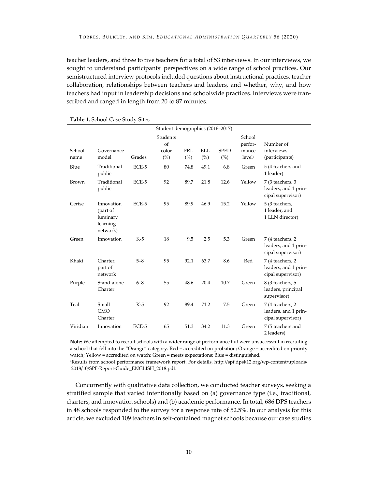teacher leaders, and three to five teachers for a total of 53 interviews. In our interviews, we sought to understand participants' perspectives on a wide range of school practices. Our semistructured interview protocols included questions about instructional practices, teacher collaboration, relationships between teachers and leaders, and whether, why, and how teachers had input in leadership decisions and schoolwide practices. Interviews were transcribed and ranged in length from 20 to 87 minutes.

|                | <b>Table 1.</b> School Case Study Sites                    |         |                                  |                   |                   |                    |                                                  |                                                               |  |  |
|----------------|------------------------------------------------------------|---------|----------------------------------|-------------------|-------------------|--------------------|--------------------------------------------------|---------------------------------------------------------------|--|--|
|                |                                                            |         | Student demographics (2016-2017) |                   |                   |                    |                                                  |                                                               |  |  |
| School<br>name | Governance<br>model                                        | Grades  | Students<br>of<br>color<br>(%)   | <b>FRL</b><br>(%) | <b>ELL</b><br>(%) | <b>SPED</b><br>(%) | School<br>perfor-<br>mance<br>level <sup>a</sup> | Number of<br>interviews<br>(participants)                     |  |  |
| Blue           | Traditional<br>public                                      | ECE-5   | 80                               | 74.8              | 49.1              | 6.8                | Green                                            | 5 (4 teachers and<br>1 leader)                                |  |  |
| Brown          | Traditional<br>public                                      | ECE-5   | 92                               | 89.7              | 21.8              | 12.6               | Yellow                                           | 7 (3 teachers, 3<br>leaders, and 1 prin-<br>cipal supervisor) |  |  |
| Cerise         | Innovation<br>(part of<br>luminary<br>learning<br>network) | ECE-5   | 95                               | 89.9              | 46.9              | 15.2               | Yellow                                           | 5 (3 teachers,<br>1 leader, and<br>1 LLN director)            |  |  |
| Green          | Innovation                                                 | $K-5$   | 18                               | 9.5               | 2.5               | 5.3                | Green                                            | 7 (4 teachers, 2<br>leaders, and 1 prin-<br>cipal supervisor) |  |  |
| Khaki          | Charter,<br>part of<br>network                             | $5 - 8$ | 95                               | 92.1              | 63.7              | 8.6                | Red                                              | 7 (4 teachers, 2<br>leaders, and 1 prin-<br>cipal supervisor) |  |  |
| Purple         | Stand-alone<br>Charter                                     | $6 - 8$ | 55                               | 48.6              | 20.4              | 10.7               | Green                                            | 8 (3 teachers, 5<br>leaders, principal<br>supervisor)         |  |  |
| Teal           | Small<br><b>CMO</b><br>Charter                             | $K-5$   | 92                               | 89.4              | 71.2              | 7.5                | Green                                            | 7 (4 teachers, 2<br>leaders, and 1 prin-<br>cipal supervisor) |  |  |
| Viridian       | Innovation                                                 | ECE-5   | 65                               | 51.3              | 34.2              | 11.3               | Green                                            | 7 (5 teachers and<br>2 leaders)                               |  |  |

**Note:** We attempted to recruit schools with a wider range of performance but were unsuccessful in recruiting a school that fell into the "Orange" category. Red = accredited on probation; Orange = accredited on priority watch; Yellow = accredited on watch; Green = meets expectations; Blue = distinguished.

aResults from school performance framework report. For details, http://spf.dpsk12.org/wp-content/uploads/ 2018/10/SPF-Report-Guide\_ENGLISH\_2018.pdf.

Concurrently with qualitative data collection, we conducted teacher surveys, seeking a stratified sample that varied intentionally based on (a) governance type (i.e., traditional, charters, and innovation schools) and (b) academic performance. In total, 686 DPS teachers in 48 schools responded to the survey for a response rate of 52.5%. In our analysis for this article, we excluded 109 teachers in self-contained magnet schools because our case studies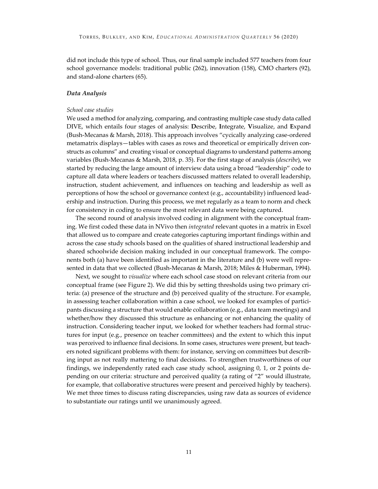did not include this type of school. Thus, our final sample included 577 teachers from four school governance models: traditional public (262), innovation (158), CMO charters (92), and stand-alone charters (65).

#### *Data Analysis*

#### *School case studies*

We used a method for analyzing, comparing, and contrasting multiple case study data called DIVE, which entails four stages of analysis: **D**escribe, **I**ntegrate, **V**isualize, and **E**xpand (Bush-Mecanas & Marsh, 2018). This approach involves "cycically analyzing case-ordered metamatrix displays—tables with cases as rows and theoretical or empirically driven constructs as columns" and creating visual or conceptual diagrams to understand patterns among variables (Bush-Mecanas & Marsh, 2018, p. 35). For the first stage of analysis (*describe*), we started by reducing the large amount of interview data using a broad "leadership" code to capture all data where leaders or teachers discussed matters related to overall leadership, instruction, student achievement, and influences on teaching and leadership as well as perceptions of how the school or governance context (e.g., accountability) influenced leadership and instruction. During this process, we met regularly as a team to norm and check for consistency in coding to ensure the most relevant data were being captured.

The second round of analysis involved coding in alignment with the conceptual framing. We first coded these data in NVivo then *integrated* relevant quotes in a matrix in Excel that allowed us to compare and create categories capturing important findings within and across the case study schools based on the qualities of shared instructional leadership and shared schoolwide decision making included in our conceptual framework. The components both (a) have been identified as important in the literature and (b) were well represented in data that we collected (Bush-Mecanas & Marsh, 2018; Miles & Huberman, 1994).

Next, we sought to *visualize* where each school case stood on relevant criteria from our conceptual frame (see Figure 2). We did this by setting thresholds using two primary criteria: (a) presence of the structure and (b) perceived quality of the structure. For example, in assessing teacher collaboration within a case school, we looked for examples of participants discussing a structure that would enable collaboration (e.g., data team meetings) and whether/how they discussed this structure as enhancing or not enhancing the quality of instruction. Considering teacher input, we looked for whether teachers had formal structures for input (e.g., presence on teacher committees) and the extent to which this input was perceived to influence final decisions. In some cases, structures were present, but teachers noted significant problems with them: for instance, serving on committees but describing input as not really mattering to final decisions. To strengthen trustworthiness of our findings, we independently rated each case study school, assigning 0, 1, or 2 points depending on our criteria: structure and perceived quality (a rating of "2" would illustrate, for example, that collaborative structures were present and perceived highly by teachers). We met three times to discuss rating discrepancies, using raw data as sources of evidence to substantiate our ratings until we unanimously agreed.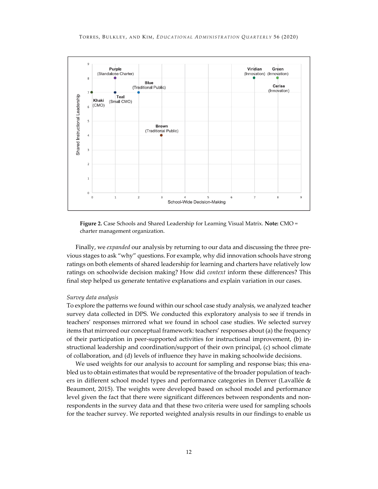

**Figure 2.** Case Schools and Shared Leadership for Learning Visual Matrix. **Note:** CMO = charter management organization.

Finally, we *expanded* our analysis by returning to our data and discussing the three previous stages to ask "why" questions. For example, why did innovation schools have strong ratings on both elements of shared leadership for learning and charters have relatively low ratings on schoolwide decision making? How did *context* inform these differences? This final step helped us generate tentative explanations and explain variation in our cases.

#### *Survey data analysis*

To explore the patterns we found within our school case study analysis, we analyzed teacher survey data collected in DPS. We conducted this exploratory analysis to see if trends in teachers' responses mirrored what we found in school case studies. We selected survey items that mirrored our conceptual framework: teachers' responses about (a) the frequency of their participation in peer-supported activities for instructional improvement, (b) instructional leadership and coordination/support of their own principal, (c) school climate of collaboration, and (d) levels of influence they have in making schoolwide decisions.

We used weights for our analysis to account for sampling and response bias; this enabled us to obtain estimates that would be representative of the broader population of teachers in different school model types and performance categories in Denver (Lavallée & Beaumont, 2015). The weights were developed based on school model and performance level given the fact that there were significant differences between respondents and nonrespondents in the survey data and that these two criteria were used for sampling schools for the teacher survey. We reported weighted analysis results in our findings to enable us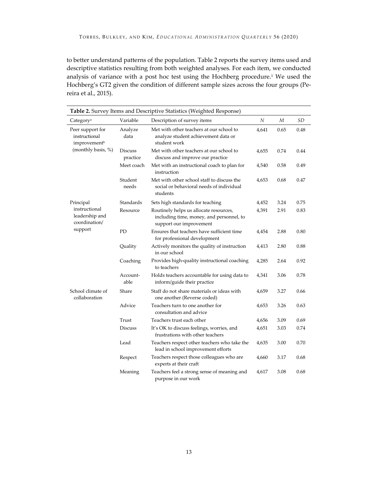to better understand patterns of the population. Table 2 reports the survey items used and descriptive statistics resulting from both weighted analyses. For each item, we conducted analysis of variance with a post hoc test using the Hochberg procedure.1 We used the Hochberg's GT2 given the condition of different sample sizes across the four groups (Pereira et al., 2015).

| Table 2. Survey Items and Descriptive Statistics (Weighted Response) |                            |                                                                                                               |                  |      |           |  |  |  |  |  |
|----------------------------------------------------------------------|----------------------------|---------------------------------------------------------------------------------------------------------------|------------------|------|-----------|--|--|--|--|--|
| Category <sup>a</sup>                                                | Variable                   | Description of survey items                                                                                   | $\boldsymbol{N}$ | М    | <b>SD</b> |  |  |  |  |  |
| Peer support for<br>instructional<br>improvement <sup>b</sup>        | Analyze<br>data            | Met with other teachers at our school to<br>analyze student achievement data or<br>student work               | 4,641            | 0.65 | 0.48      |  |  |  |  |  |
| (monthly basis, %)                                                   | <b>Discuss</b><br>practice | Met with other teachers at our school to<br>discuss and improve our practice                                  | 4,655            | 0.74 | 0.44      |  |  |  |  |  |
|                                                                      | Meet coach                 | Met with an instructional coach to plan for<br>instruction                                                    | 4,540            | 0.58 | 0.49      |  |  |  |  |  |
|                                                                      | Student<br>needs           | Met with other school staff to discuss the<br>social or behavioral needs of individual<br>students            | 4,653            | 0.68 | 0.47      |  |  |  |  |  |
| Principal                                                            | Standards                  | Sets high standards for teaching                                                                              | 4,452            | 3.24 | 0.75      |  |  |  |  |  |
| instructional<br>leadership and<br>coordination/<br>support          | Resource                   | Routinely helps us allocate resources,<br>including time, money, and personnel, to<br>support our improvement | 4,391            | 2.91 | 0.83      |  |  |  |  |  |
|                                                                      | PD                         | Ensures that teachers have sufficient time<br>for professional development                                    | 4,454            | 2.88 | 0.80      |  |  |  |  |  |
|                                                                      | Quality                    | Actively monitors the quality of instruction<br>in our school                                                 | 4,413            | 2.80 | 0.88      |  |  |  |  |  |
|                                                                      | Coaching                   | Provides high-quality instructional coaching<br>to teachers                                                   | 4,285            | 2.64 | 0.92      |  |  |  |  |  |
|                                                                      | Account-<br>able           | Holds teachers accountable for using data to<br>inform/guide their practice                                   | 4,341            | 3.06 | 0.78      |  |  |  |  |  |
| School climate of<br>collaboration                                   | Share                      | Staff do not share materials or ideas with<br>one another (Reverse coded)                                     | 4,659            | 3.27 | 0.66      |  |  |  |  |  |
|                                                                      | Advice                     | Teachers turn to one another for<br>consultation and advice                                                   | 4,653            | 3.26 | 0.63      |  |  |  |  |  |
|                                                                      | Trust                      | Teachers trust each other                                                                                     | 4,656            | 3.09 | 0.69      |  |  |  |  |  |
|                                                                      | <b>Discuss</b>             | It's OK to discuss feelings, worries, and<br>frustrations with other teachers                                 | 4,651            | 3.03 | 0.74      |  |  |  |  |  |
|                                                                      | Lead                       | Teachers respect other teachers who take the<br>lead in school improvement efforts                            | 4,635            | 3.00 | 0.70      |  |  |  |  |  |
|                                                                      | Respect                    | Teachers respect those colleagues who are<br>experts at their craft                                           | 4,660            | 3.17 | 0.68      |  |  |  |  |  |
|                                                                      | Meaning                    | Teachers feel a strong sense of meaning and<br>purpose in our work                                            | 4,617            | 3.08 | 0.68      |  |  |  |  |  |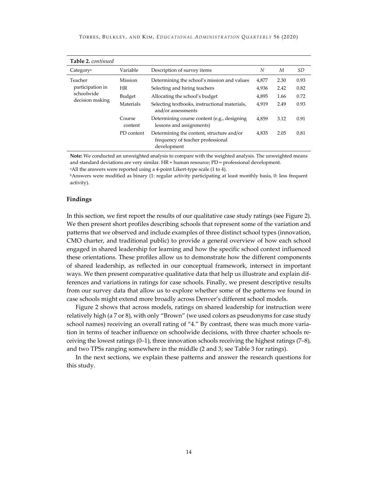| Table 2. continued                                           |                   |                                                                                               |       |      |      |
|--------------------------------------------------------------|-------------------|-----------------------------------------------------------------------------------------------|-------|------|------|
| Category <sup>a</sup>                                        | Variable          | Description of survey items                                                                   | N     | М    | SD   |
| Teacher<br>participation in<br>schoolwide<br>decision making | <b>Mission</b>    | Determining the school's mission and values                                                   | 4,877 | 2.30 | 0.93 |
|                                                              | <b>HR</b>         | Selecting and hiring teachers                                                                 | 4,936 | 2.42 | 0.82 |
|                                                              | Budget            | Allocating the school's budget                                                                | 4,895 | 1.66 | 0.72 |
|                                                              | Materials         | Selecting textbooks, instructional materials,<br>and/or assessments                           | 4.919 | 2.49 | 0.93 |
|                                                              | Course<br>content | Determining course content (e.g., designing<br>lessons and assignments)                       | 4,859 | 3.12 | 0.91 |
|                                                              | PD content        | Determining the content, structure and/or<br>frequency of teacher professional<br>development | 4,835 | 2.05 | 0.81 |

**Note:** We conducted an unweighted analysis to compare with the weighted analysis. The unweighted means and standard deviations are very similar. HR = human resource; PD = professional development.

aAll the answers were reported using a 4-point Likert-type scale (1 to 4).

bAnswers were modified as binary (1: regular activity participating at least monthly basis, 0: less frequent activity).

# **Findings**

In this section, we first report the results of our qualitative case study ratings (see Figure 2). We then present short profiles describing schools that represent some of the variation and patterns that we observed and include examples of three distinct school types (innovation, CMO charter, and traditional public) to provide a general overview of how each school engaged in shared leadership for learning and how the specific school context influenced these orientations. These profiles allow us to demonstrate how the different components of shared leadership, as reflected in our conceptual framework, intersect in important ways. We then present comparative qualitative data that help us illustrate and explain differences and variations in ratings for case schools. Finally, we present descriptive results from our survey data that allow us to explore whether some of the patterns we found in case schools might extend more broadly across Denver's different school models.

Figure 2 shows that across models, ratings on shared leadership for instruction were relatively high (a 7 or 8), with only "Brown" (we used colors as pseudonyms for case study school names) receiving an overall rating of "4." By contrast, there was much more variation in terms of teacher influence on schoolwide decisions, with three charter schools receiving the lowest ratings  $(0-1)$ , three innovation schools receiving the highest ratings  $(7-8)$ , and two TPSs ranging somewhere in the middle (2 and 3; see Table 3 for ratings).

In the next sections, we explain these patterns and answer the research questions for this study.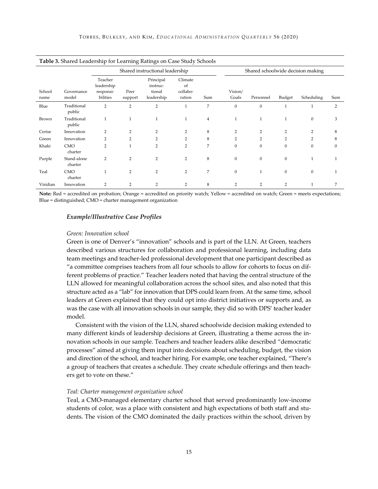|                | Table 3. Shared Leadership for Learning Ratings on Case Study Schools |                                                |                                 |                                               |                                     |                |                                   |                  |                |                |                |
|----------------|-----------------------------------------------------------------------|------------------------------------------------|---------------------------------|-----------------------------------------------|-------------------------------------|----------------|-----------------------------------|------------------|----------------|----------------|----------------|
|                |                                                                       |                                                | Shared instructional leadership |                                               |                                     |                | Shared schoolwide decision making |                  |                |                |                |
| School<br>name | Governance<br>model                                                   | Teacher<br>leadership<br>responsi-<br>bilities | Peer<br>support                 | Principal<br>instruc-<br>tional<br>leadership | Climate<br>of<br>collabo-<br>ration | Sum            | Vision/<br>Goals                  | Personnel        | Budget         | Scheduling     | Sum            |
| Blue           | Traditional<br>public                                                 | $\overline{2}$                                 | $\overline{2}$                  | $\overline{2}$                                | 1                                   | 7              | $\mathbf{0}$                      | $\boldsymbol{0}$ | $\mathbf{1}$   |                | $\overline{2}$ |
| Brown          | Traditional<br>public                                                 | $\mathbf{1}$                                   | $\mathbf{1}$                    |                                               | 1                                   | $\overline{4}$ | 1                                 | 1                |                | $\Omega$       | 3              |
| Cerise         | Innovation                                                            | $\overline{2}$                                 | $\overline{2}$                  | $\overline{2}$                                | $\overline{2}$                      | 8              | $\overline{2}$                    | 2                | $\overline{2}$ | $\overline{2}$ | 8              |
| Green          | Innovation                                                            | 2                                              | $\overline{2}$                  | $\overline{2}$                                | $\overline{2}$                      | 8              | 2                                 | $\overline{2}$   | $\overline{2}$ | $\overline{2}$ | 8              |
| Khaki          | <b>CMO</b><br>charter                                                 | $\overline{2}$                                 | $\mathbf{1}$                    | $\overline{2}$                                | $\overline{2}$                      | 7              | $\mathbf{0}$                      | $\mathbf{0}$     | $\mathbf{0}$   | $\Omega$       | $\Omega$       |
| Purple         | Stand-alone<br>charter                                                | $\overline{2}$                                 | $\overline{2}$                  | $\overline{2}$                                | $\overline{2}$                      | 8              | $\mathbf{0}$                      | $\boldsymbol{0}$ | $\mathbf{0}$   | 1              | $\mathbf{1}$   |
| Teal           | <b>CMO</b><br>charter                                                 | 1                                              | $\overline{2}$                  | $\overline{2}$                                | $\overline{2}$                      | 7              | $\mathbf{0}$                      | 1                | $\mathbf{0}$   | $\mathbf{0}$   |                |
| Viridian       | Innovation                                                            | $\overline{2}$                                 | $\overline{2}$                  | $\overline{2}$                                | $\overline{2}$                      | 8              | $\overline{2}$                    | $\overline{2}$   | $\overline{2}$ |                | 7              |

**Note:** Red = accredited on probation; Orange = accredited on priority watch; Yellow = accredited on watch; Green = meets expectations; Blue = distinguished; CMO = charter management organization

# *Example/Illustrative Case Profiles*

#### *Green: Innovation school*

Green is one of Denver's "innovation" schools and is part of the LLN. At Green, teachers described various structures for collaboration and professional learning, including data team meetings and teacher-led professional development that one participant described as "a committee comprises teachers from all four schools to allow for cohorts to focus on different problems of practice." Teacher leaders noted that having the central structure of the LLN allowed for meaningful collaboration across the school sites, and also noted that this structure acted as a "lab" for innovation that DPS could learn from. At the same time, school leaders at Green explained that they could opt into district initiatives or supports and, as was the case with all innovation schools in our sample, they did so with DPS' teacher leader model.

Consistent with the vision of the LLN, shared schoolwide decision making extended to many different kinds of leadership decisions at Green, illustrating a theme across the innovation schools in our sample. Teachers and teacher leaders alike described "democratic processes" aimed at giving them input into decisions about scheduling, budget, the vision and direction of the school, and teacher hiring. For example, one teacher explained, "There's a group of teachers that creates a schedule. They create schedule offerings and then teachers get to vote on these."

# *Teal: Charter management organization school*

Teal, a CMO-managed elementary charter school that served predominantly low-income students of color, was a place with consistent and high expectations of both staff and students. The vision of the CMO dominated the daily practices within the school, driven by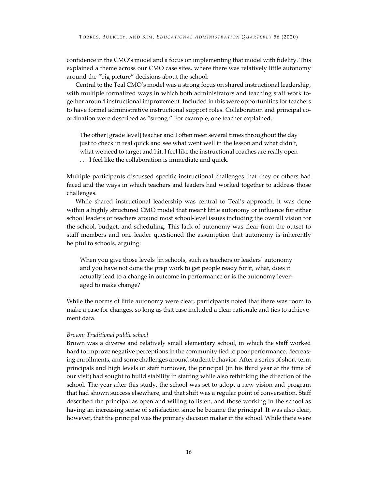confidence in the CMO's model and a focus on implementing that model with fidelity. This explained a theme across our CMO case sites, where there was relatively little autonomy around the "big picture" decisions about the school.

Central to the Teal CMO's model was a strong focus on shared instructional leadership, with multiple formalized ways in which both administrators and teaching staff work together around instructional improvement. Included in this were opportunities for teachers to have formal administrative instructional support roles. Collaboration and principal coordination were described as "strong." For example, one teacher explained,

The other [grade level] teacher and I often meet several times throughout the day just to check in real quick and see what went well in the lesson and what didn't, what we need to target and hit. I feel like the instructional coaches are really open . . . I feel like the collaboration is immediate and quick.

Multiple participants discussed specific instructional challenges that they or others had faced and the ways in which teachers and leaders had worked together to address those challenges.

While shared instructional leadership was central to Teal's approach, it was done within a highly structured CMO model that meant little autonomy or influence for either school leaders or teachers around most school-level issues including the overall vision for the school, budget, and scheduling. This lack of autonomy was clear from the outset to staff members and one leader questioned the assumption that autonomy is inherently helpful to schools, arguing:

When you give those levels [in schools, such as teachers or leaders] autonomy and you have not done the prep work to get people ready for it, what, does it actually lead to a change in outcome in performance or is the autonomy leveraged to make change?

While the norms of little autonomy were clear, participants noted that there was room to make a case for changes, so long as that case included a clear rationale and ties to achievement data.

# *Brown: Traditional public school*

Brown was a diverse and relatively small elementary school, in which the staff worked hard to improve negative perceptions in the community tied to poor performance, decreasing enrollments, and some challenges around student behavior. After a series of short-term principals and high levels of staff turnover, the principal (in his third year at the time of our visit) had sought to build stability in staffing while also rethinking the direction of the school. The year after this study, the school was set to adopt a new vision and program that had shown success elsewhere, and that shift was a regular point of conversation. Staff described the principal as open and willing to listen, and those working in the school as having an increasing sense of satisfaction since he became the principal. It was also clear, however, that the principal was the primary decision maker in the school. While there were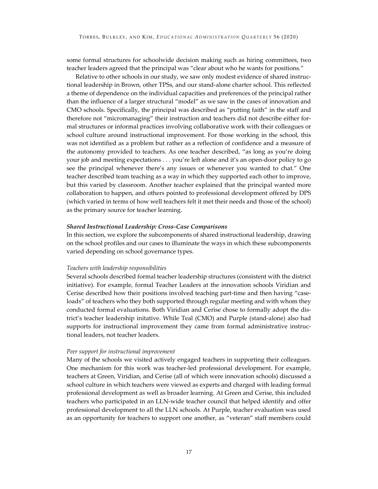some formal structures for schoolwide decision making such as hiring committees, two teacher leaders agreed that the principal was "clear about who he wants for positions."

Relative to other schools in our study, we saw only modest evidence of shared instructional leadership in Brown, other TPSs, and our stand-alone charter school. This reflected a theme of dependence on the individual capacities and preferences of the principal rather than the influence of a larger structural "model" as we saw in the cases of innovation and CMO schools. Specifically, the principal was described as "putting faith" in the staff and therefore not "micromanaging" their instruction and teachers did not describe either formal structures or informal practices involving collaborative work with their colleagues or school culture around instructional improvement. For those working in the school, this was not identified as a problem but rather as a reflection of confidence and a measure of the autonomy provided to teachers. As one teacher described, "as long as you're doing your job and meeting expectations . . . you're left alone and it's an open-door policy to go see the principal whenever there's any issues or whenever you wanted to chat." One teacher described team teaching as a way in which they supported each other to improve, but this varied by classroom. Another teacher explained that the principal wanted more collaboration to happen, and others pointed to professional development offered by DPS (which varied in terms of how well teachers felt it met their needs and those of the school) as the primary source for teacher learning.

# *Shared Instructional Leadership: Cross-Case Comparisons*

In this section, we explore the subcomponents of shared instructional leadership, drawing on the school profiles and our cases to illuminate the ways in which these subcomponents varied depending on school governance types.

#### *Teachers with leadership responsibilities*

Several schools described formal teacher leadership structures (consistent with the district initiative). For example, formal Teacher Leaders at the innovation schools Viridian and Cerise described how their positions involved teaching part-time and then having "caseloads" of teachers who they both supported through regular meeting and with whom they conducted formal evaluations. Both Viridian and Cerise chose to formally adopt the district's teacher leadership initative. While Teal (CMO) and Purple (stand-alone) also had supports for instructional improvement they came from formal administrative instructional leaders, not teacher leaders.

#### *Peer support for instructional improvement*

Many of the schools we visited actively engaged teachers in supporting their colleagues. One mechanism for this work was teacher-led professional development. For example, teachers at Green, Viridian, and Cerise (all of which were innovation schools) discussed a school culture in which teachers were viewed as experts and charged with leading formal professional development as well as broader learning. At Green and Cerise, this included teachers who participated in an LLN-wide teacher council that helped identify and offer professional development to all the LLN schools. At Purple, teacher evaluation was used as an opportunity for teachers to support one another, as "veteran" staff members could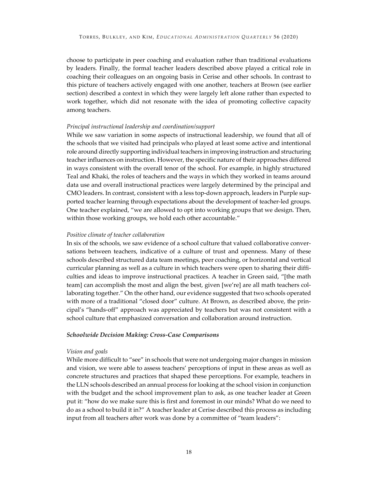choose to participate in peer coaching and evaluation rather than traditional evaluations by leaders. Finally, the formal teacher leaders described above played a critical role in coaching their colleagues on an ongoing basis in Cerise and other schools. In contrast to this picture of teachers actively engaged with one another, teachers at Brown (see earlier section) described a context in which they were largely left alone rather than expected to work together, which did not resonate with the idea of promoting collective capacity among teachers.

#### *Principal instructional leadership and coordination/support*

While we saw variation in some aspects of instructional leadership, we found that all of the schools that we visited had principals who played at least some active and intentional role around directly supporting individual teachers in improving instruction and structuring teacher influences on instruction. However, the specific nature of their approaches differed in ways consistent with the overall tenor of the school. For example, in highly structured Teal and Khaki, the roles of teachers and the ways in which they worked in teams around data use and overall instructional practices were largely determined by the principal and CMO leaders. In contrast, consistent with a less top-down approach, leaders in Purple supported teacher learning through expectations about the development of teacher-led groups. One teacher explained, "we are allowed to opt into working groups that we design. Then, within those working groups, we hold each other accountable."

#### *Positive climate of teacher collaboration*

In six of the schools, we saw evidence of a school culture that valued collaborative conversations between teachers, indicative of a culture of trust and openness. Many of these schools described structured data team meetings, peer coaching, or horizontal and vertical curricular planning as well as a culture in which teachers were open to sharing their difficulties and ideas to improve instructional practices. A teacher in Green said, "[the math team] can accomplish the most and align the best, given [we're] are all math teachers collaborating together." On the other hand, our evidence suggested that two schools operated with more of a traditional "closed door" culture. At Brown, as described above, the principal's "hands-off" approach was appreciated by teachers but was not consistent with a school culture that emphasized conversation and collaboration around instruction.

#### *Schoolwide Decision Making: Cross-Case Comparisons*

# *Vision and goals*

While more difficult to "see" in schools that were not undergoing major changes in mission and vision, we were able to assess teachers' perceptions of input in these areas as well as concrete structures and practices that shaped these perceptions. For example, teachers in the LLN schools described an annual process for looking at the school vision in conjunction with the budget and the school improvement plan to ask, as one teacher leader at Green put it: "how do we make sure this is first and foremost in our minds? What do we need to do as a school to build it in?" A teacher leader at Cerise described this process as including input from all teachers after work was done by a committee of "team leaders":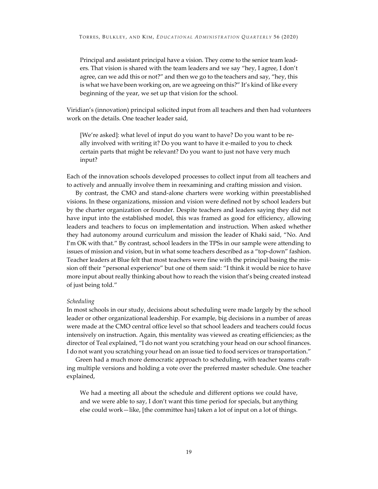Principal and assistant principal have a vision. They come to the senior team leaders. That vision is shared with the team leaders and we say "hey, I agree, I don't agree, can we add this or not?" and then we go to the teachers and say, "hey, this is what we have been working on, are we agreeing on this?" It's kind of like every beginning of the year, we set up that vision for the school.

Viridian's (innovation) principal solicited input from all teachers and then had volunteers work on the details. One teacher leader said,

[We're asked]: what level of input do you want to have? Do you want to be really involved with writing it? Do you want to have it e-mailed to you to check certain parts that might be relevant? Do you want to just not have very much input?

Each of the innovation schools developed processes to collect input from all teachers and to actively and annually involve them in reexamining and crafting mission and vision.

By contrast, the CMO and stand-alone charters were working within preestablished visions. In these organizations, mission and vision were defined not by school leaders but by the charter organization or founder. Despite teachers and leaders saying they did not have input into the established model, this was framed as good for efficiency, allowing leaders and teachers to focus on implementation and instruction. When asked whether they had autonomy around curriculum and mission the leader of Khaki said, "No. And I'm OK with that." By contrast, school leaders in the TPSs in our sample were attending to issues of mission and vision, but in what some teachers described as a "top-down" fashion. Teacher leaders at Blue felt that most teachers were fine with the principal basing the mission off their "personal experience" but one of them said: "I think it would be nice to have more input about really thinking about how to reach the vision that's being created instead of just being told."

#### *Scheduling*

In most schools in our study, decisions about scheduling were made largely by the school leader or other organizational leadership. For example, big decisions in a number of areas were made at the CMO central office level so that school leaders and teachers could focus intensively on instruction. Again, this mentality was viewed as creating efficiencies; as the director of Teal explained, "I do not want you scratching your head on our school finances. I do not want you scratching your head on an issue tied to food services or transportation."

Green had a much more democratic approach to scheduling, with teacher teams crafting multiple versions and holding a vote over the preferred master schedule. One teacher explained,

We had a meeting all about the schedule and different options we could have, and we were able to say, I don't want this time period for specials, but anything else could work—like, [the committee has] taken a lot of input on a lot of things.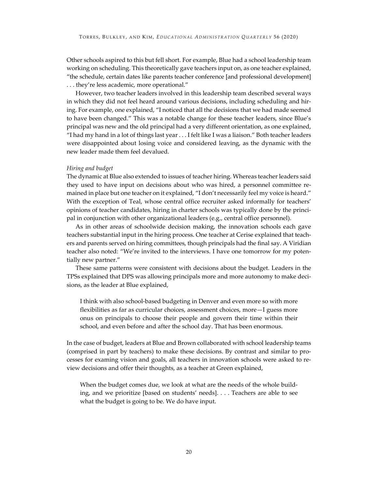Other schools aspired to this but fell short. For example, Blue had a school leadership team working on scheduling. This theoretically gave teachers input on, as one teacher explained, "the schedule, certain dates like parents teacher conference [and professional development] . . . they're less academic, more operational."

However, two teacher leaders involved in this leadership team described several ways in which they did not feel heard around various decisions, including scheduling and hiring. For example, one explained, "I noticed that all the decisions that we had made seemed to have been changed." This was a notable change for these teacher leaders, since Blue's principal was new and the old principal had a very different orientation, as one explained, "I had my hand in a lot of things last year . . . I felt like I was a liaison." Both teacher leaders were disappointed about losing voice and considered leaving, as the dynamic with the new leader made them feel devalued.

# *Hiring and budget*

The dynamic at Blue also extended to issues of teacher hiring. Whereas teacher leaders said they used to have input on decisions about who was hired, a personnel committee remained in place but one teacher on it explained, "I don't necessarily feel my voice is heard." With the exception of Teal, whose central office recruiter asked informally for teachers' opinions of teacher candidates, hiring in charter schools was typically done by the principal in conjunction with other organizational leaders (e.g., central office personnel).

As in other areas of schoolwide decision making, the innovation schools each gave teachers substantial input in the hiring process. One teacher at Cerise explained that teachers and parents served on hiring committees, though principals had the final say. A Viridian teacher also noted: "We're invited to the interviews. I have one tomorrow for my potentially new partner."

These same patterns were consistent with decisions about the budget. Leaders in the TPSs explained that DPS was allowing principals more and more autonomy to make decisions, as the leader at Blue explained,

I think with also school-based budgeting in Denver and even more so with more flexibilities as far as curricular choices, assessment choices, more—I guess more onus on principals to choose their people and govern their time within their school, and even before and after the school day. That has been enormous.

In the case of budget, leaders at Blue and Brown collaborated with school leadership teams (comprised in part by teachers) to make these decisions. By contrast and similar to processes for examing vision and goals, all teachers in innovation schools were asked to review decisions and offer their thoughts, as a teacher at Green explained,

When the budget comes due, we look at what are the needs of the whole building, and we prioritize [based on students' needs]. . . . Teachers are able to see what the budget is going to be. We do have input.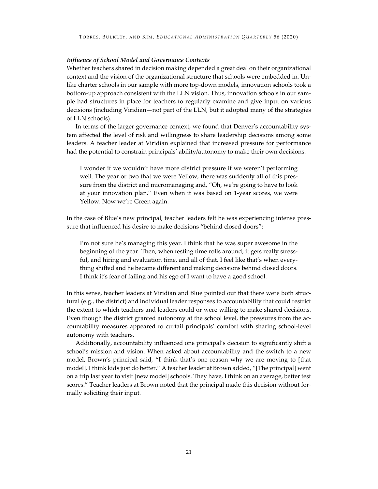# *Influence of School Model and Governance Contexts*

Whether teachers shared in decision making depended a great deal on their organizational context and the vision of the organizational structure that schools were embedded in. Unlike charter schools in our sample with more top-down models, innovation schools took a bottom-up approach consistent with the LLN vision. Thus, innovation schools in our sample had structures in place for teachers to regularly examine and give input on various decisions (including Viridian—not part of the LLN, but it adopted many of the strategies of LLN schools).

In terms of the larger governance context, we found that Denver's accountability system affected the level of risk and willingness to share leadership decisions among some leaders. A teacher leader at Viridian explained that increased pressure for performance had the potential to constrain principals' ability/autonomy to make their own decisions:

I wonder if we wouldn't have more district pressure if we weren't performing well. The year or two that we were Yellow, there was suddenly all of this pressure from the district and micromanaging and, "Oh, we're going to have to look at your innovation plan." Even when it was based on 1-year scores, we were Yellow. Now we're Green again.

In the case of Blue's new principal, teacher leaders felt he was experiencing intense pressure that influenced his desire to make decisions "behind closed doors":

I'm not sure he's managing this year. I think that he was super awesome in the beginning of the year. Then, when testing time rolls around, it gets really stressful, and hiring and evaluation time, and all of that. I feel like that's when everything shifted and he became different and making decisions behind closed doors. I think it's fear of failing and his ego of I want to have a good school.

In this sense, teacher leaders at Viridian and Blue pointed out that there were both structural (e.g., the district) and individual leader responses to accountability that could restrict the extent to which teachers and leaders could or were willing to make shared decisions. Even though the district granted autonomy at the school level, the pressures from the accountability measures appeared to curtail principals' comfort with sharing school-level autonomy with teachers.

Additionally, accountability influenced one principal's decision to significantly shift a school's mission and vision. When asked about accountability and the switch to a new model, Brown's principal said, "I think that's one reason why we are moving to [that model]. I think kids just do better." A teacher leader at Brown added, "[The principal] went on a trip last year to visit [new model] schools. They have, I think on an average, better test scores." Teacher leaders at Brown noted that the principal made this decision without formally soliciting their input.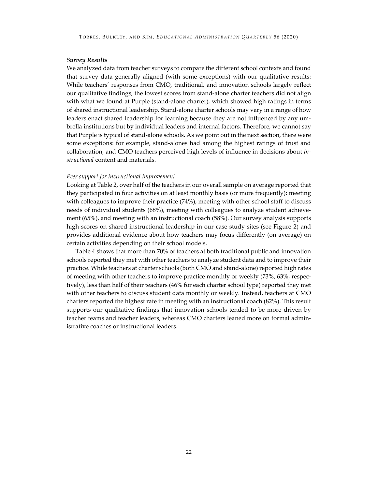### *Survey Results*

We analyzed data from teacher surveys to compare the different school contexts and found that survey data generally aligned (with some exceptions) with our qualitative results: While teachers' responses from CMO, traditional, and innovation schools largely reflect our qualitative findings, the lowest scores from stand-alone charter teachers did not align with what we found at Purple (stand-alone charter), which showed high ratings in terms of shared instructional leadership. Stand-alone charter schools may vary in a range of how leaders enact shared leadership for learning because they are not influenced by any umbrella institutions but by individual leaders and internal factors. Therefore, we cannot say that Purple is typical of stand-alone schools. As we point out in the next section, there were some exceptions: for example, stand-alones had among the highest ratings of trust and collaboration, and CMO teachers perceived high levels of influence in decisions about *instructional* content and materials.

#### *Peer support for instructional improvement*

Looking at Table 2, over half of the teachers in our overall sample on average reported that they participated in four activities on at least monthly basis (or more frequently): meeting with colleagues to improve their practice (74%), meeting with other school staff to discuss needs of individual students (68%), meeting with colleagues to analyze student achievement (65%), and meeting with an instructional coach (58%). Our survey analysis supports high scores on shared instructional leadership in our case study sites (see Figure 2) and provides additional evidence about how teachers may focus differently (on average) on certain activities depending on their school models.

Table 4 shows that more than 70% of teachers at both traditional public and innovation schools reported they met with other teachers to analyze student data and to improve their practice. While teachers at charter schools (both CMO and stand-alone) reported high rates of meeting with other teachers to improve practice monthly or weekly (73%, 63%, respectively), less than half of their teachers (46% for each charter school type) reported they met with other teachers to discuss student data monthly or weekly. Instead, teachers at CMO charters reported the highest rate in meeting with an instructional coach (82%). This result supports our qualitative findings that innovation schools tended to be more driven by teacher teams and teacher leaders, whereas CMO charters leaned more on formal administrative coaches or instructional leaders.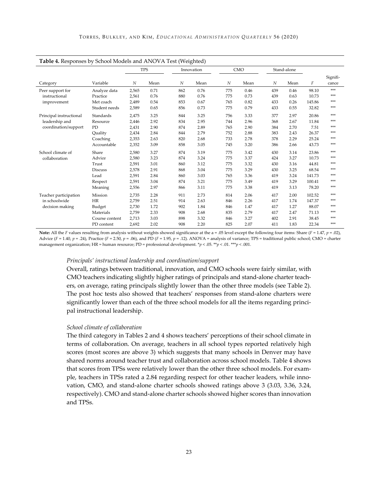| Table 4. Responses by School Models and ANOVA Test (Weighted) |                |       |            |     |            |     |      |     |             |        |                   |
|---------------------------------------------------------------|----------------|-------|------------|-----|------------|-----|------|-----|-------------|--------|-------------------|
|                                                               |                |       | <b>TPS</b> |     | Innovation |     | CMO  |     | Stand-alone |        |                   |
| Category                                                      | Variable       | N     | Mean       | N   | Mean       | N   | Mean | N   | Mean        | F      | Signifi-<br>cance |
| Peer support for                                              | Analyze data   | 2,565 | 0.71       | 862 | 0.76       | 775 | 0.46 | 439 | 0.46        | 98.10  | ***               |
| instructional                                                 | Practice       | 2,561 | 0.76       | 880 | 0.76       | 775 | 0.73 | 439 | 0.63        | 10.73  | ***               |
| improvement                                                   | Met coach      | 2,489 | 0.54       | 853 | 0.67       | 765 | 0.82 | 433 | 0.26        | 145.86 | ***               |
|                                                               | Student needs  | 2,589 | 0.65       | 856 | 0.73       | 775 | 0.79 | 433 | 0.55        | 32.82  | ***               |
| Principal instructional                                       | Standards      | 2,475 | 3.25       | 844 | 3.25       | 756 | 3.33 | 377 | 2.97        | 20.86  | ***               |
| leadership and                                                | Resource       | 2,446 | 2.92       | 834 | 2.95       | 744 | 2.96 | 368 | 2.67        | 11.84  | ***               |
| coordination/support                                          | PD             | 2,431 | 2.90       | 874 | 2.89       | 765 | 2.90 | 384 | 2.70        | 7.51   | ***               |
|                                                               | Ouality        | 2,434 | 2.84       | 844 | 2.79       | 752 | 2.88 | 383 | 2.43        | 26.37  | ***               |
|                                                               | Coaching       | 2,353 | 2.63       | 820 | 2.68       | 733 | 2.78 | 378 | 2.29        | 25.24  | ***               |
|                                                               | Accountable    | 2,352 | 3.09       | 858 | 3.05       | 745 | 3.20 | 386 | 2.66        | 43.73  | ***               |
| School climate of                                             | Share          | 2,580 | 3.27       | 874 | 3.19       | 775 | 3.42 | 430 | 3.14        | 23.86  | ***               |
| collaboration                                                 | Advice         | 2,580 | 3.23       | 874 | 3.24       | 775 | 3.37 | 424 | 3.27        | 10.73  | ***               |
|                                                               | Trust          | 2,591 | 3.01       | 860 | 3.12       | 775 | 3.32 | 430 | 3.16        | 44.81  | ***               |
|                                                               | <b>Discuss</b> | 2,578 | 2.91       | 868 | 3.04       | 775 | 3.29 | 430 | 3.25        | 68.54  | ***               |
|                                                               | Lead           | 2,591 | 2.84       | 860 | 3.03       | 765 | 3.36 | 419 | 3.24        | 141.73 | ***               |
|                                                               | Respect        | 2,591 | 3.04       | 874 | 3.21       | 775 | 3.49 | 419 | 3.29        | 100.41 | ***               |
|                                                               | Meaning        | 2,556 | 2.97       | 866 | 3.11       | 775 | 3.38 | 419 | 3.13        | 78.20  | ***               |
| Teacher participation                                         | Mission        | 2,735 | 2.28       | 911 | 2.73       | 814 | 2.06 | 417 | 2.00        | 102.52 | ***               |
| in schoolwide                                                 | HR             | 2,759 | 2.51       | 914 | 2.63       | 846 | 2.26 | 417 | 1.74        | 147.37 | ***               |
| decision making                                               | Budget         | 2,730 | 1.72       | 902 | 1.84       | 846 | 1.47 | 417 | 1.27        | 88.07  | ***               |
|                                                               | Materials      | 2,759 | 2.33       | 908 | 2.68       | 835 | 2.79 | 417 | 2.47        | 71.13  | ***               |
|                                                               | Course content | 2,713 | 3.03       | 898 | 3.32       | 846 | 3.27 | 402 | 2.91        | 38.45  | ***               |
|                                                               | PD content     | 2,692 | 2.02       | 908 | 2.20       | 825 | 2.07 | 411 | 1.83        | 22.34  | ***               |

**Note:** All the *F* values resulting from analysis without weights showed significance at the a = .05 level except the following four items: Share (*F* = 1.47, *p* = .02), Advice (*F* = 1.40, *p* = .24), Practice (*F* = 2.50, *p* = .06), and PD (*F* = 1.95, *p* = .12). ANOVA = analysis of variance; TPS = traditional public school; CMO = charter management organization; HR = human resource; PD = professional development. \**p* < .05. \*\**p* < .01. \*\*\**p* < .001.

#### *Principals' instructional leadership and coordination/support*

Overall, ratings between traditional, innovation, and CMO schools were fairly similar, with CMO teachers indicating slightly higher ratings of principals and stand-alone charter teachers, on average, rating principals slightly lower than the other three models (see Table 2). The post hoc tests also showed that teachers' responses from stand-alone charters were significantly lower than each of the three school models for all the items regarding principal instructional leadership.

#### *School climate of collaboration*

The third category in Tables 2 and 4 shows teachers' perceptions of their school climate in terms of collaboration. On average, teachers in all school types reported relatively high scores (most scores are above 3) which suggests that many schools in Denver may have shared norms around teacher trust and collaboration across school models. Table 4 shows that scores from TPSs were relatively lower than the other three school models. For example, teachers in TPSs rated a 2.84 regarding respect for other teacher leaders, while innovation, CMO, and stand-alone charter schools showed ratings above 3 (3.03, 3.36, 3.24, respectively). CMO and stand-alone charter schools showed higher scores than innovation and TPSs.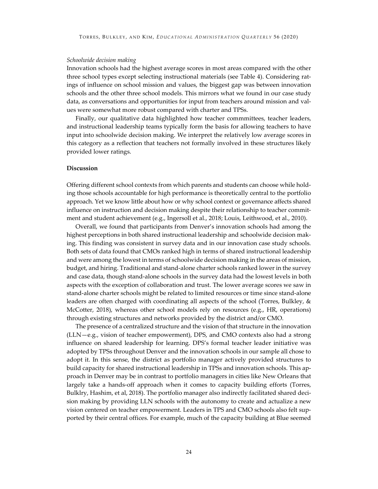# *Schoolwide decision making*

Innovation schools had the highest average scores in most areas compared with the other three school types except selecting instructional materials (see Table 4). Considering ratings of influence on school mission and values, the biggest gap was between innovation schools and the other three school models. This mirrors what we found in our case study data, as conversations and opportunities for input from teachers around mission and values were somewhat more robust compared with charter and TPSs.

Finally, our qualitative data highlighted how teacher commmittees, teacher leaders, and instructional leadership teams typically form the basis for allowing teachers to have input into schoolwide decision making. We interpret the relatively low average scores in this category as a reflection that teachers not formally involved in these structures likely provided lower ratings.

# **Discussion**

Offering different school contexts from which parents and students can choose while holding those schools accountable for high performance is theoretically central to the portfolio approach. Yet we know little about how or why school context or governance affects shared influence on instruction and decision making despite their relationship to teacher commitment and student achievement (e.g., Ingersoll et al., 2018; Louis, Leithwood, et al., 2010).

Overall, we found that participants from Denver's innovation schools had among the highest perceptions in both shared instructional leadership and schoolwide decision making. This finding was consistent in survey data and in our innovation case study schools. Both sets of data found that CMOs ranked high in terms of shared instructional leadership and were among the lowest in terms of schoolwide decision making in the areas of mission, budget, and hiring. Traditional and stand-alone charter schools ranked lower in the survey and case data, though stand-alone schools in the survey data had the lowest levels in both aspects with the exception of collaboration and trust. The lower average scores we saw in stand-alone charter schools might be related to limited resources or time since stand-alone leaders are often charged with coordinating all aspects of the school (Torres, Bulkley, & McCotter, 2018), whereas other school models rely on resources (e.g., HR, operations) through existing structures and networks provided by the district and/or CMO.

The presence of a centralized structure and the vision of that structure in the innovation (LLN—e.g., vision of teacher empowerment), DPS, and CMO contexts also had a strong influence on shared leadership for learning. DPS's formal teacher leader initiative was adopted by TPSs throughout Denver and the innovation schools in our sample all chose to adopt it. In this sense, the district as portfolio manager actively provided structures to build capacity for shared instructional leadership in TPSs and innovation schools. This approach in Denver may be in contrast to portfolio managers in cities like New Orleans that largely take a hands-off approach when it comes to capacity building efforts (Torres, Bulklry, Hashim, et al, 2018). The portfolio manager also indirectly facilitated shared decision making by providing LLN schools with the autonomy to create and actualize a new vision centered on teacher empowerment. Leaders in TPS and CMO schools also felt supported by their central offices. For example, much of the capacity building at Blue seemed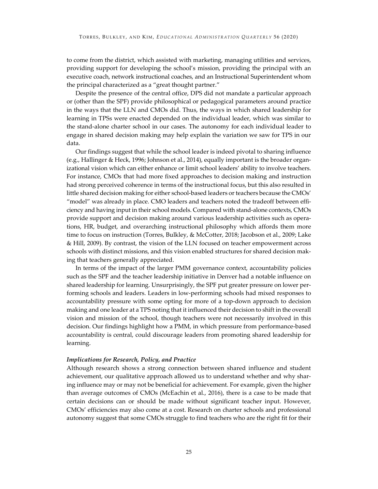to come from the district, which assisted with marketing, managing utilities and services, providing support for developing the school's mission, providing the principal with an executive coach, network instructional coaches, and an Instructional Superintendent whom the principal characterized as a "great thought partner."

Despite the presence of the central office, DPS did not mandate a particular approach or (other than the SPF) provide philosophical or pedagogical parameters around practice in the ways that the LLN and CMOs did. Thus, the ways in which shared leadership for learning in TPSs were enacted depended on the individual leader, which was similar to the stand-alone charter school in our cases. The autonomy for each individual leader to engage in shared decision making may help explain the variation we saw for TPS in our data.

Our findings suggest that while the school leader is indeed pivotal to sharing influence (e.g., Hallinger & Heck, 1996; Johnson et al., 2014), equally important is the broader organizational vision which can either enhance or limit school leaders' ability to involve teachers. For instance, CMOs that had more fixed approaches to decision making and instruction had strong perceived coherence in terms of the instructional focus, but this also resulted in little shared decision making for either school-based leaders or teachers because the CMOs' "model" was already in place. CMO leaders and teachers noted the tradeoff between efficiency and having input in their school models. Compared with stand-alone contexts, CMOs provide support and decision making around various leadership activities such as operations, HR, budget, and overarching instructional philosophy which affords them more time to focus on instruction (Torres, Bulkley, & McCotter, 2018; Jacobson et al., 2009; Lake & Hill, 2009). By contrast, the vision of the LLN focused on teacher empowerment across schools with distinct missions, and this vision enabled structures for shared decision making that teachers generally appreciated.

In terms of the impact of the larger PMM governance context, accountability policies such as the SPF and the teacher leadership initiative in Denver had a notable influence on shared leadership for learning. Unsurprisingly, the SPF put greater pressure on lower performing schools and leaders. Leaders in low-performing schools had mixed responses to accountability pressure with some opting for more of a top-down approach to decision making and one leader at a TPS noting that it influenced their decision to shift in the overall vision and mission of the school, though teachers were not necessarily involved in this decision. Our findings highlight how a PMM, in which pressure from performance-based accountability is central, could discourage leaders from promoting shared leadership for learning.

# *Implications for Research, Policy, and Practice*

Although research shows a strong connection between shared influence and student achievement, our qualitative approach allowed us to understand whether and why sharing influence may or may not be beneficial for achievement. For example, given the higher than average outcomes of CMOs (McEachin et al., 2016), there is a case to be made that certain decisions can or should be made without significant teacher input. However, CMOs' efficiencies may also come at a cost. Research on charter schools and professional autonomy suggest that some CMOs struggle to find teachers who are the right fit for their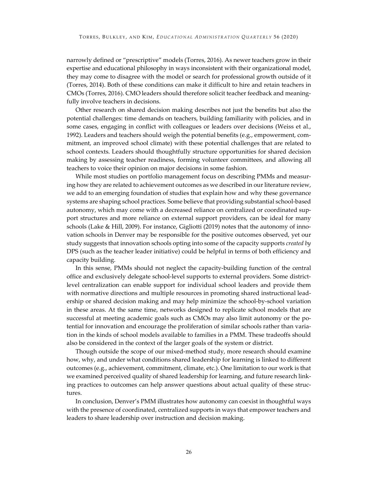narrowly defined or "prescriptive" models (Torres, 2016). As newer teachers grow in their expertise and educational philosophy in ways inconsistent with their organizational model, they may come to disagree with the model or search for professional growth outside of it (Torres, 2014). Both of these conditions can make it difficult to hire and retain teachers in CMOs (Torres, 2016). CMO leaders should therefore solicit teacher feedback and meaningfully involve teachers in decisions.

Other research on shared decision making describes not just the benefits but also the potential challenges: time demands on teachers, building familiarity with policies, and in some cases, engaging in conflict with colleagues or leaders over decisions (Weiss et al., 1992). Leaders and teachers should weigh the potential benefits (e.g., empowerment, commitment, an improved school climate) with these potential challenges that are related to school contexts. Leaders should thoughtfully structure opportunities for shared decision making by assessing teacher readiness, forming volunteer committees, and allowing all teachers to voice their opinion on major decisions in some fashion.

While most studies on portfolio management focus on describing PMMs and measuring how they are related to achievement outcomes as we described in our literature review, we add to an emerging foundation of studies that explain how and why these governance systems are shaping school practices. Some believe that providing substantial school-based autonomy, which may come with a decreased reliance on centralized or coordinated support structures and more reliance on external support providers, can be ideal for many schools (Lake & Hill, 2009). For instance, Gigliotti (2019) notes that the autonomy of innovation schools in Denver may be responsible for the positive outcomes observed, yet our study suggests that innovation schools opting into some of the capacity supports *created by*  DPS (such as the teacher leader initiative) could be helpful in terms of both efficiency and capacity building.

In this sense, PMMs should not neglect the capacity-building function of the central office and exclusively delegate school-level supports to external providers. Some districtlevel centralization can enable support for individual school leaders and provide them with normative directions and multiple resources in promoting shared instructional leadership or shared decision making and may help minimize the school-by-school variation in these areas. At the same time, networks designed to replicate school models that are successful at meeting academic goals such as CMOs may also limit autonomy or the potential for innovation and encourage the proliferation of similar schools rather than variation in the kinds of school models available to families in a PMM. These tradeoffs should also be considered in the context of the larger goals of the system or district.

Though outside the scope of our mixed-method study, more research should examine how, why, and under what conditions shared leadership for learning is linked to different outcomes (e.g., achievement, commitment, climate, etc.). One limitation to our work is that we examined perceived quality of shared leadership for learning, and future research linking practices to outcomes can help answer questions about actual quality of these structures.

In conclusion, Denver's PMM illustrates how autonomy can coexist in thoughtful ways with the presence of coordinated, centralized supports in ways that empower teachers and leaders to share leadership over instruction and decision making.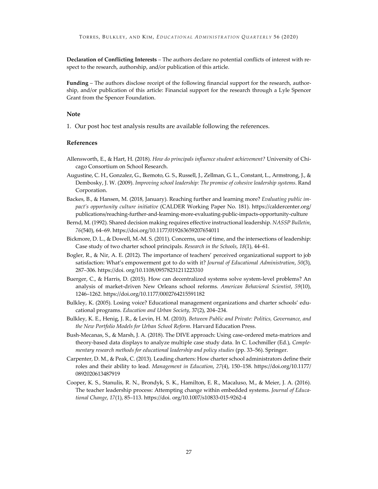**Declaration of Conflicting Interests** – The authors declare no potential conflicts of interest with respect to the research, authorship, and/or publication of this article.

**Funding** – The authors disclose receipt of the following financial support for the research, authorship, and/or publication of this article: Financial support for the research through a Lyle Spencer Grant from the Spencer Foundation.

# **Note**

1. Our post hoc test analysis results are available following the references.

# **References**

- Allensworth, E., & Hart, H. (2018). *How do principals influence student achievement?* University of Chicago Consortium on School Research.
- Augustine, C. H., Gonzalez, G., Ikemoto, G. S., Russell, J., Zellman, G. L., Constant, L., Armstrong, J., & Dembosky, J. W. (2009). *Improving school leadership: The promise of cohesive leadership systems*. Rand Corporation.
- Backes, B., & Hansen, M. (2018, January). Reaching further and learning more? *Evaluating public impact's opportunity culture initiative* (CALDER Working Paper No. 181). https://caldercenter.org/ publications/reaching-further-and-learning-more-evaluating-public-impacts-opportunity-culture
- Bernd, M. (1992). Shared decision making requires effective instructional leadership. *NASSP Bulletin*, *76*(540), 64–69. https://doi.org/10.1177/019263659207654011
- Bickmore, D. L., & Dowell, M.-M. S. (2011). Concerns, use of time, and the intersections of leadership: Case study of two charter school principals. *Research in the Schools*, *18*(1), 44–61.
- Bogler, R., & Nir, A. E. (2012). The importance of teachers' perceived organizational support to job satisfaction: What's empowerment got to do with it? *Journal of Educational Administration*, *50*(3), 287–306. https://doi. org/10.1108/09578231211223310
- Buerger, C., & Harris, D. (2015). How can decentralized systems solve system-level problems? An analysis of market-driven New Orleans school reforms. *American Behavioral Scientist*, *59*(10), 1246–1262. https://doi.org/10.1177/0002764215591182
- Bulkley, K. (2005). Losing voice? Educational management organizations and charter schools' educational programs. *Education and Urban Society*, 37(2), 204–234.
- Bulkley, K. E., Henig, J. R., & Levin, H. M. (2010). *Between Public and Private: Politics, Governance, and the New Portfolio Models for Urban School Reform*. Harvard Education Press.
- Bush-Mecanas, S., & Marsh, J. A. (2018). The DIVE approach: Using case-ordered meta-matrices and theory-based data displays to analyze multiple case study data. In C. Lochmiller (Ed.), *Complementary research methods for educational leadership and policy studies* (pp. 33–56). Springer.
- Carpenter, D. M., & Peak, C. (2013). Leading charters: How charter school administrators define their roles and their ability to lead. *Management in Education*, *27*(4), 150–158. https://doi.org/10.1177/ 0892020613487919
- Cooper, K. S., Stanulis, R. N., Brondyk, S. K., Hamilton, E. R., Macaluso, M., & Meier, J. A. (2016). The teacher leadership process: Attempting change within embedded systems. *Journal of Educational Change*, *17*(1), 85–113. https://doi. org/10.1007/s10833-015-9262-4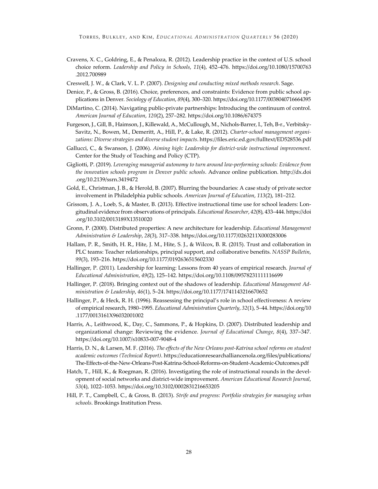- Cravens, X. C., Goldring, E., & Penaloza, R. (2012). Leadership practice in the context of U.S. school choice reform. *Leadership and Policy in Schools*, *11*(4), 452–476. https://doi.org/10.1080/15700763 .2012.700989
- Creswell, J. W., & Clark, V. L. P. (2007). *Designing and conducting mixed methods research*. Sage.
- Denice, P., & Gross, B. (2016). Choice, preferences, and constraints: Evidence from public school applications in Denver. *Sociology of Education*, *89*(4), 300–320. https://doi.org/10.1177/0038040716664395
- DiMartino, C. (2014). Navigating public-private partnerships: Introducing the continuum of control. *American Journal of Education*, *120*(2), 257–282. https://doi.org/10.1086/674375
- Furgeson, J., Gill, B., Haimson, J., Killewald, A., McCullough, M., Nichols-Barrer, I., Teh, B-r., Verbitsky-Savitz, N., Bowen, M., Demeritt, A., Hill, P., & Lake, R. (2012). *Charter-school management organizations: Diverse strategies and diverse student impacts*. https://files.eric.ed.gov/fulltext/ED528536.pdf
- Gallucci, C., & Swanson, J. (2006). *Aiming high: Leadership for district-wide instructional improvement*. Center for the Study of Teaching and Policy (CTP).
- Gigliotti, P. (2019). *Leveraging managerial autonomy to turn around low-performing schools: Evidence from the innovation schools program in Denver public schools*. Advance online publication. http://dx.doi .org/10.2139/ssrn.3419472
- Gold, E., Christman, J. B., & Herold, B. (2007). Blurring the boundaries: A case study of private sector involvement in Philadelphia public schools. *American Journal of Education*, *113*(2), 181–212.
- Grissom, J. A., Loeb, S., & Master, B. (2013). Effective instructional time use for school leaders: Longitudinal evidence from observations of principals. *Educational Researcher*, *42*(8), 433–444. https://doi .org/10.3102/0013189X13510020
- Gronn, P. (2000). Distributed properties: A new architecture for leadership. *Educational Management Administration & Leadership*, *28*(3), 317–338. https://doi.org/10.1177/0263211X000283006
- Hallam, P. R., Smith, H. R., Hite, J. M., Hite, S. J., & Wilcox, B. R. (2015). Trust and collaboration in PLC teams: Teacher relationships, principal support, and collaborative benefits. *NASSP Bulletin*, *99*(3), 193–216. https://doi.org/10.1177/0192636515602330
- Hallinger, P. (2011). Leadership for learning: Lessons from 40 years of empirical research. *Journal of Educational Administration*, *49*(2), 125–142. https://doi.org/10.1108/09578231111116699
- Hallinger, P. (2018). Bringing context out of the shadows of leadership. *Educational Management Administration & Leadership*, *46*(1), 5–24. https://doi.org/10.1177/1741143216670652
- Hallinger, P., & Heck, R. H. (1996). Reassessing the principal's role in school effectiveness: A review of empirical research, 1980–1995. *Educational Administration Quarterly*, *32*(1), 5–44. https://doi.org/10 .1177/0013161X96032001002
- Harris, A., Leithwood, K., Day, C., Sammons, P., & Hopkins, D. (2007). Distributed leadership and organizational change: Reviewing the evidence. *Journal of Educational Change*, *8*(4), 337–347. https://doi.org/10.1007/s10833-007-9048-4
- Harris, D. N., & Larsen, M. F. (2016). *The effects of the New Orleans post-Katrina school reforms on student academic outcomes (Technical Report)*. https://educationresearchalliancenola.org/files/publications/ The-Effects-of-the-New-Orleans-Post-Katrina-School-Reforms-on-Student-Academic-Outcomes.pdf
- Hatch, T., Hill, K., & Roegman, R. (2016). Investigating the role of instructional rounds in the development of social networks and district-wide improvement. *American Educational Research Journal*, *53*(4), 1022–1053. https://doi.org/10.3102/0002831216653205
- Hill, P. T., Campbell, C., & Gross, B. (2013). *Strife and progress: Portfolio strategies for managing urban schools*. Brookings Institution Press.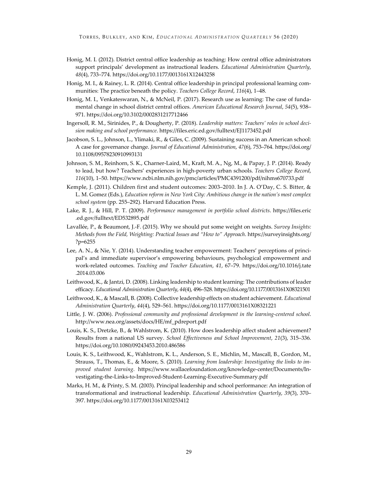- Honig, M. I. (2012). District central office leadership as teaching: How central office administrators support principals' development as instructional leaders. *Educational Administration Quarterly*, *48*(4), 733–774. https://doi.org/10.1177/0013161X12443258
- Honig, M. I., & Rainey, L. R. (2014). Central office leadership in principal professional learning communities: The practice beneath the policy. *Teachers College Record*, *116*(4), 1–48.
- Honig, M. I., Venkateswaran, N., & McNeil, P. (2017). Research use as learning: The case of fundamental change in school district central offices. *American Educational Research Journal*, *54*(5), 938– 971. https://doi.org/10.3102/0002831217712466
- Ingersoll, R. M., Sirinides, P., & Dougherty, P. (2018). *Leadership matters: Teachers' roles in school decision making and school performance*. https://files.eric.ed.gov/fulltext/EJ1173452.pdf
- Jacobson, S. L., Johnson, L., Ylimaki, R., & Giles, C. (2009). Sustaining success in an American school: A case for governance change. *Journal of Educational Administration*, *47*(6), 753–764. https://doi.org/ 10.1108/09578230910993131
- Johnson, S. M., Reinhorn, S. K., Charner-Laird, M., Kraft, M. A., Ng, M., & Papay, J. P. (2014). Ready to lead, but how? Teachers' experiences in high-poverty urban schools. *Teachers College Record*, *116*(10), 1–50. https://www.ncbi.nlm.nih.gov/pmc/articles/PMC4391200/pdf/nihms670733.pdf
- Kemple, J. (2011). Children first and student outcomes: 2003–2010. In J. A. O'Day, C. S. Bitter, & L. M. Gomez (Eds.), *Education reform in New York City: Ambitious change in the nation's most complex school system* (pp. 255–292). Harvard Education Press.
- Lake, R. J., & Hill, P. T. (2009). *Performance management in portfolio school districts*. https://files.eric .ed.gov/fulltext/ED532895.pdf
- Lavallée, P., & Beaumont, J.-F. (2015). Why we should put some weight on weights. *Survey Insights: Methods from the Field, Weighting: Practical Issues and "How to" Approach*. https://surveyinsights.org/ ?p=6255
- Lee, A. N., & Nie, Y. (2014). Understanding teacher empowerment: Teachers' perceptions of principal's and immediate supervisor's empowering behaviours, psychological empowerment and work-related outcomes. *Teaching and Teacher Education*, *41*, 67–79. https://doi.org/10.1016/j.tate .2014.03.006
- Leithwood, K., & Jantzi, D. (2008). Linking leadership to student learning: The contributions of leader efficacy. *Educational Administration Quarterly*, *44*(4), 496–528. https://doi.org/10.1177/0013161X08321501
- Leithwood, K., & Mascall, B. (2008). Collective leadership effects on student achievement. *Educational Administration Quarterly*, *44*(4), 529–561. https://doi.org/10.1177/0013161X08321221
- Little, J. W. (2006). *Professional community and professional development in the learning-centered school*. http://www.nea.org/assets/docs/HE/mf\_pdreport.pdf
- Louis, K. S., Dretzke, B., & Wahlstrom, K. (2010). How does leadership affect student achievement? Results from a national US survey. *School Effectiveness and School Improvement*, *21*(3), 315–336. https://doi.org/10.1080/09243453.2010.486586
- Louis, K. S., Leithwood, K., Wahlstrom, K. L., Anderson, S. E., Michlin, M., Mascall, B., Gordon, M., Strauss, T., Thomas, E., & Moore, S. (2010). *Learning from leadership: Investigating the links to improved student learning*. https://www.wallacefoundation.org/knowledge-center/Documents/Investigating-the-Links-to-Improved-Student-Learning-Executive-Summary.pdf
- Marks, H. M., & Printy, S. M. (2003). Principal leadership and school performance: An integration of transformational and instructional leadership. *Educational Administration Quarterly*, *39*(3), 370– 397. https://doi.org/10.1177/0013161X03253412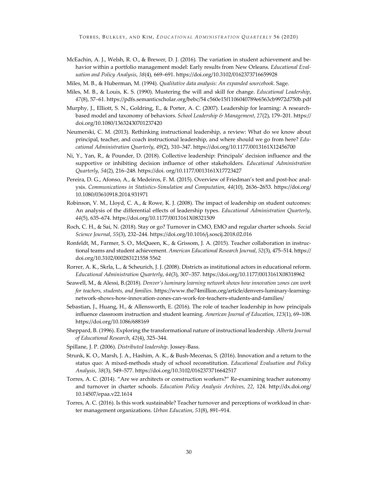- McEachin, A. J., Welsh, R. O., & Brewer, D. J. (2016). The variation in student achievement and behavior within a portfolio management model: Early results from New Orleans. *Educational Evaluation and Policy Analysis*, *38*(4), 669–691. https://doi.org/10.3102/0162373716659928
- Miles, M. B., & Huberman, M. (1994). *Qualitative data analysis: An expanded sourcebook*. Sage.
- Miles, M. B., & Louis, K. S. (1990). Mustering the will and skill for change. *Educational Leadership*, *47*(8), 57–61. https://pdfs.semanticscholar.org/bebc/54 c560e15f1106040789e6563cb9972d750b.pdf
- Murphy, J., Elliott, S. N., Goldring, E., & Porter, A. C. (2007). Leadership for learning: A researchbased model and taxonomy of behaviors. *School Leadership & Management*, *27*(2), 179–201. https:// doi.org/10.1080/13632430701237420
- Neumerski, C. M. (2013). Rethinking instructional leadership, a review: What do we know about principal, teacher, and coach instructional leadership, and where should we go from here? *Educational Administration Quarterly*, *49*(2), 310–347. https://doi.org/10.1177/0013161X12456700
- Ni, Y., Yan, R., & Pounder, D. (2018). Collective leadership: Principals' decision influence and the supportive or inhibiting decision influence of other stakeholders. *Educational Administration Quarterly*, *54*(2), 216–248. https://doi. org/10.1177/0013161X17723427
- Pereira, D. G., Afonso, A., & Medeiros, F. M. (2015). Overview of Friedman's test and post-hoc analysis. *Communications in Statistics-Simulation and Computation*, *44*(10), 2636–2653. https://doi.org/ 10.1080/03610918.2014.931971
- Robinson, V. M., Lloyd, C. A., & Rowe, K. J. (2008). The impact of leadership on student outcomes: An analysis of the differential effects of leadership types. *Educational Administration Quarterly*, *44*(5), 635–674. https://doi.org/10.1177/0013161X08321509
- Roch, C. H., & Sai, N. (2018). Stay or go? Turnover in CMO, EMO and regular charter schools. *Social Science Journal*, *55*(3), 232–244. https://doi.org/10.1016/j.soscij.2018.02.016
- Ronfeldt, M., Farmer, S. O., McQueen, K., & Grissom, J. A. (2015). Teacher collaboration in instructional teams and student achievement. *American Educational Research Journal*, *52*(3), 475–514. https:// doi.org/10.3102/000283121558 5562
- Rorrer, A. K., Skrla, L., & Scheurich, J. J. (2008). Districts as institutional actors in educational reform. *Educational Administration Quarterly*, *44*(3), 307–357. https://doi.org/10.1177/0013161X08318962
- Seawell, M., & Alessi, B.(2018). *Denver's luminary learning network shows how innovation zones can work for teachers, students, and families*. https://www.the74million.org/article/denvers-luminary-learningnetwork-shows-how-innovation-zones-can-work-for-teachers-students-and-families/
- Sebastian, J., Huang, H., & Allensworth, E. (2016). The role of teacher leadership in how principals influence classroom instruction and student learning. *American Journal of Education*, *123*(1), 69–108. https://doi.org/10.1086/688169
- Sheppard, B. (1996). Exploring the transformational nature of instructional leadership. *Alberta Journal of Educational Research*, *42*(4), 325–344.
- Spillane, J. P. (2006). *Distributed leadership*. Jossey-Bass.
- Strunk, K. O., Marsh, J. A., Hashim, A. K., & Bush-Mecenas, S. (2016). Innovation and a return to the status quo: A mixed-methods study of school reconstitution. *Educational Evaluation and Policy Analysis*, *38*(3), 549–577. https://doi.org/10.3102/0162373716642517
- Torres, A. C. (2014). "Are we architects or construction workers?" Re-examining teacher autonomy and turnover in charter schools. *Education Policy Analysis Archives*, *22*, 124. http://dx.doi.org/ 10.14507/epaa.v22.1614
- Torres, A. C. (2016). Is this work sustainable? Teacher turnover and perceptions of workload in charter management organizations. *Urban Education*, *51*(8), 891–914.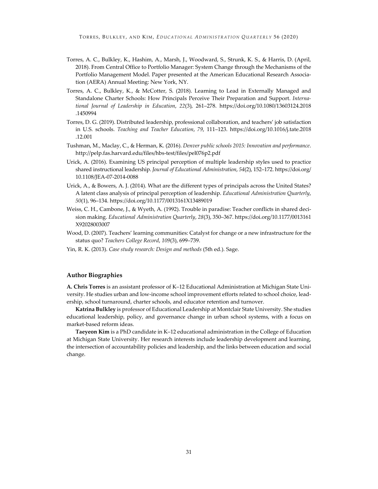- Torres, A. C., Bulkley, K., Hashim, A., Marsh, J., Woodward, S., Strunk, K. S., & Harris, D. (April, 2018). From Central Office to Portfolio Manager: System Change through the Mechanisms of the Portfolio Management Model. Paper presented at the American Educational Research Association (AERA) Annual Meeting: New York, NY.
- Torres, A. C., Bulkley, K., & McCotter, S. (2018). Learning to Lead in Externally Managed and Standalone Charter Schools: How Principals Perceive Their Preparation and Support. *International Journal of Leadership in Education*, *22*(3), 261–278. https://doi.org/10.1080/13603124.2018 .1450994
- Torres, D. G. (2019). Distributed leadership, professional collaboration, and teachers' job satisfaction in U.S. schools. *Teaching and Teacher Education*, *79*, 111–123. https://doi.org/10.1016/j.tate.2018 .12.001
- Tushman, M., Maclay, C., & Herman, K. (2016). *Denver public schools 2015: Innovation and performance*. http://pelp.fas.harvard.edu/files/hbs-test/files/pel076p2.pdf
- Urick, A. (2016). Examining US principal perception of multiple leadership styles used to practice shared instructional leadership. *Journal of Educational Administration*, *54*(2), 152–172. https://doi.org/ 10.1108/JEA-07-2014-0088
- Urick, A., & Bowers, A. J. (2014). What are the different types of principals across the United States? A latent class analysis of principal perception of leadership. *Educational Administration Quarterly*, *50*(1), 96–134. https://doi.org/10.1177/0013161X13489019
- Weiss, C. H., Cambone, J., & Wyeth, A. (1992). Trouble in paradise: Teacher conflicts in shared decision making. *Educational Administration Quarterly*, *28*(3), 350–367. https://doi.org/10.1177/0013161 X92028003007
- Wood, D. (2007). Teachers' learning communities: Catalyst for change or a new infrastructure for the status quo? *Teachers College Record*, *109*(3), 699–739.
- Yin, R. K. (2013). *Case study research: Design and methods* (5th ed.). Sage.

# **Author Biographies**

**A. Chris Torres** is an assistant professor of K–12 Educational Administration at Michigan State University. He studies urban and low-income school improvement efforts related to school choice, leadership, school turnaround, charter schools, and educator retention and turnover.

**Katrina Bulkley** is professor of Educational Leadership at Montclair State University. She studies educational leadership, policy, and governance change in urban school systems, with a focus on market-based reform ideas.

**Taeyeon Kim** is a PhD candidate in K–12 educational administration in the College of Education at Michigan State University. Her research interests include leadership development and learning, the intersection of accountability policies and leadership, and the links between education and social change.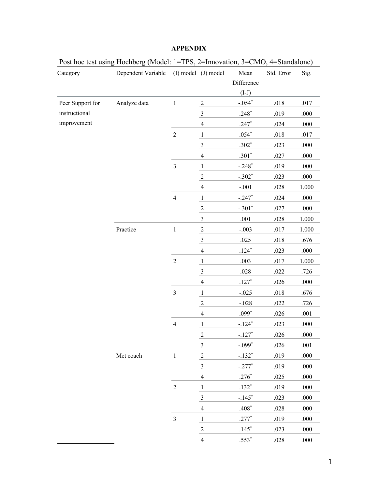| Category         | Dependent Variable |                | (I) model (J) model     | Mean       | Std. Error | Sig.      |
|------------------|--------------------|----------------|-------------------------|------------|------------|-----------|
|                  |                    |                |                         | Difference |            |           |
|                  |                    |                |                         | $(I-J)$    |            |           |
| Peer Support for | Analyze data       | $\mathbf 1$    | $\overline{c}$          | $-.054*$   | .018       | .017      |
| instructional    |                    |                | $\mathfrak{Z}$          | $.248*$    | .019       | $.000\,$  |
| improvement      |                    |                | $\overline{4}$          | $.247*$    | .024       | $.000\,$  |
|                  |                    | $\sqrt{2}$     | $\mathbf{1}$            | $.054*$    | $.018\,$   | $.017$    |
|                  |                    |                | $\mathfrak{Z}$          | $.302*$    | .023       | $.000$    |
|                  |                    |                | $\overline{4}$          | $.301*$    | .027       | $.000$    |
|                  |                    | $\mathfrak{Z}$ | $\mathbf{1}$            | $-.248*$   | .019       | $.000$    |
|                  |                    |                | $\boldsymbol{2}$        | $-.302*$   | .023       | $.000$    |
|                  |                    |                | $\overline{4}$          | $-.001$    | .028       | $1.000\,$ |
|                  |                    | $\overline{4}$ | $\mathbf{1}$            | $-.247*$   | .024       | $.000$    |
|                  |                    |                | $\sqrt{2}$              | $-.301*$   | .027       | $.000$    |
|                  |                    |                | $\mathfrak{Z}$          | $.001$     | .028       | 1.000     |
|                  | Practice           | $\,1$          | $\overline{c}$          | $-.003$    | .017       | 1.000     |
|                  |                    |                | $\overline{\mathbf{3}}$ | .025       | .018       | .676      |
|                  |                    |                | $\overline{4}$          | $.124*$    | .023       | $.000$    |
|                  |                    | $\overline{2}$ | $\mathbf{1}$            | .003       | $.017$     | $1.000\,$ |
|                  |                    |                | $\sqrt{3}$              | $.028\,$   | .022       | .726      |
|                  |                    |                | $\overline{4}$          | $.127*$    | .026       | $.000$    |
|                  |                    | $\mathfrak{Z}$ | $\mathbf{1}$            | $-.025$    | $.018$     | .676      |
|                  |                    |                | $\sqrt{2}$              | $-.028$    | .022       | .726      |
|                  |                    |                | $\overline{4}$          | $.099*$    | $.026$     | $.001$    |
|                  |                    | $\overline{4}$ | $\mathbf{1}$            | $-.124*$   | .023       | .000      |
|                  |                    |                | $\sqrt{2}$              | $-.127*$   | .026       | $.000\,$  |
|                  |                    |                | $\mathfrak{Z}$          | $-.099*$   | .026       | $.001\,$  |
|                  | Met coach          | $\,1$          | $\overline{2}$          | $-.132*$   | .019       | .000      |
|                  |                    |                | $\overline{3}$          | $-.277*$   | .019       | $.000$    |
|                  |                    |                | $\overline{4}$          | $.276*$    | .025       | .000      |
|                  |                    | $\sqrt{2}$     | $\mathbf{1}$            | $.132*$    | .019       | .000      |
|                  |                    |                | $\mathfrak{Z}$          | $-.145*$   | .023       | .000      |
|                  |                    |                | $\overline{4}$          | $.408*$    | $.028\,$   | .000      |
|                  |                    | $\mathfrak{Z}$ | $\mathbf{1}$            | $.277*$    | .019       | .000      |
|                  |                    |                | $\overline{c}$          | $.145*$    | .023       | .000      |
|                  |                    |                | $\overline{4}$          | $.553*$    | $.028\,$   | $.000$    |

# **APPENDIX**

Post hoc test using Hochberg (Model: 1=TPS, 2=Innovation, 3=CMO, 4=Standalone)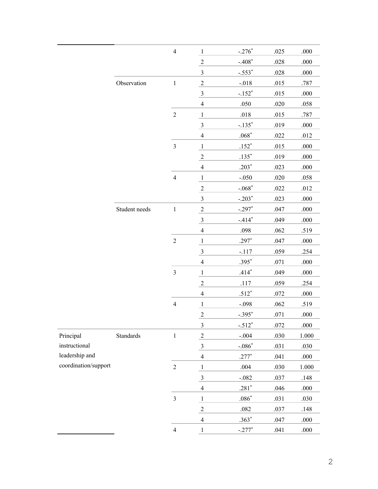|                      |               | $\overline{4}$ | $\mathbf{1}$            | $-.276*$      | .025 | .000     |
|----------------------|---------------|----------------|-------------------------|---------------|------|----------|
|                      |               |                | $\overline{2}$          | $-.408*$      | .028 | .000     |
|                      |               |                | $\mathfrak{Z}$          | $-.553*$      | .028 | .000     |
|                      | Observation   | $\mathbf{1}$   | $\sqrt{2}$              | $-.018$       | .015 | .787     |
|                      |               |                | $\mathfrak{Z}$          | $-.152*$      | .015 | .000     |
|                      |               |                | $\overline{4}$          | .050          | .020 | .058     |
|                      |               | $\sqrt{2}$     | $\mathbf{1}$            | $.018$        | .015 | .787     |
|                      |               |                | $\overline{\mathbf{3}}$ | $-.135*$      | .019 | .000     |
|                      |               |                | $\overline{4}$          | $.068*$       | .022 | .012     |
|                      |               | $\mathfrak{Z}$ | $\mathbf{1}$            | $.152*$       | .015 | .000     |
|                      |               |                | $\sqrt{2}$              | $.135*$       | .019 | .000     |
|                      |               |                | $\overline{4}$          | $.203*$       | .023 | .000     |
|                      |               | $\overline{4}$ | $\mathbf{1}$            | $-.050$       | .020 | .058     |
|                      |               |                | $\overline{2}$          | $-.068*$      | .022 | .012     |
|                      |               |                | $\overline{3}$          | $-.203*$      | .023 | .000     |
|                      | Student needs | $\mathbf{1}$   | $\sqrt{2}$              | $-.297*$      | .047 | .000     |
|                      |               |                | $\mathfrak{Z}$          | $-.414*$      | .049 | .000     |
|                      |               |                | $\overline{4}$          | .098          | .062 | .519     |
|                      |               | $\sqrt{2}$     | $\mathbf{1}$            | $.297*$       | .047 | .000     |
|                      |               |                | $\overline{\mathbf{3}}$ | $-.117$       | .059 | .254     |
|                      |               |                | $\overline{4}$          | $.395*$       | .071 | .000     |
|                      |               | $\mathfrak{Z}$ | $\mathbf{1}$            | $.414*$       | .049 | .000     |
|                      |               |                | $\sqrt{2}$              | .117          | .059 | .254     |
|                      |               |                | $\overline{4}$          | $.512*$       | .072 | .000     |
|                      |               | $\overline{4}$ | $\overline{\mathbf{1}}$ | $-.098$       | .062 | .519     |
|                      |               |                | $\overline{2}$          | $-.395*$      | .071 | .000     |
|                      |               |                | $\mathfrak{Z}$          | $-.512*$      | .072 | .000     |
| Principal            | Standards     | $\mathbf 1$    | $\sqrt{2}$              | $-.004$       | .030 | 1.000    |
| instructional        |               |                | $\overline{\mathbf{3}}$ | $-.086*$      | .031 | .030     |
| leadership and       |               |                | $\overline{4}$          | $.277*$       | .041 | $.000\,$ |
| coordination/support |               | $\sqrt{2}$     | $\overline{\mathbf{1}}$ | .004          | .030 | 1.000    |
|                      |               |                | $\overline{\mathbf{3}}$ | $-.082$       | .037 | .148     |
|                      |               |                | $\overline{4}$          | $.281*$       | .046 | .000     |
|                      |               | $\overline{3}$ | $\mathbf{1}$            | $.086^{\ast}$ | .031 | .030     |
|                      |               |                | $\sqrt{2}$              | $.082\,$      | .037 | .148     |
|                      |               |                | $\overline{4}$          | $.363*$       | .047 | $.000\,$ |
|                      |               | $\overline{4}$ | $\mathbf{1}$            | $-.277*$      | .041 | $.000\,$ |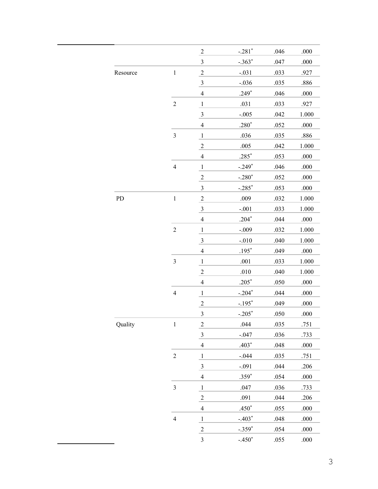|            |                | $\sqrt{2}$              | $-.281*$ | .046 | .000  |
|------------|----------------|-------------------------|----------|------|-------|
|            |                | $\overline{\mathbf{3}}$ | $-.363*$ | .047 | .000  |
| Resource   | $\,1$          | $\overline{2}$          | $-.031$  | .033 | .927  |
|            |                | $\overline{\mathbf{3}}$ | $-.036$  | .035 | .886  |
|            |                | $\overline{4}$          | $.249*$  | .046 | .000  |
|            | $\overline{c}$ | $\mathbf{1}$            | .031     | .033 | .927  |
|            |                | $\overline{\mathbf{3}}$ | $-.005$  | .042 | 1.000 |
|            |                | $\overline{4}$          | $.280*$  | .052 | .000  |
|            | $\mathfrak{Z}$ | $\mathbf{1}$            | .036     | .035 | .886  |
|            |                | $\overline{c}$          | .005     | .042 | 1.000 |
|            |                | $\overline{4}$          | $.285*$  | .053 | .000  |
|            | $\overline{4}$ | $\,1\,$                 | $-.249*$ | .046 | .000  |
|            |                | $\overline{2}$          | $-.280*$ | .052 | .000  |
|            |                | $\mathfrak{Z}$          | $-.285*$ | .053 | .000  |
| ${\rm PD}$ | $\,1$          | $\overline{2}$          | .009     | .032 | 1.000 |
|            |                | $\overline{\mathbf{3}}$ | $-.001$  | .033 | 1.000 |
|            |                | $\overline{4}$          | $.204*$  | .044 | .000  |
|            | $\overline{2}$ | $\mathbf{1}$            | $-.009$  | .032 | 1.000 |
|            |                | $\overline{\mathbf{3}}$ | $-.010$  | .040 | 1.000 |
|            |                | $\overline{4}$          | $.195*$  | .049 | .000  |
|            | $\mathfrak{Z}$ | $\mathbf{1}$            | .001     | .033 | 1.000 |
|            |                | $\overline{2}$          | .010     | .040 | 1.000 |
|            |                | $\overline{4}$          | $.205*$  | .050 | .000  |
|            | $\overline{4}$ | $\,1\,$                 | $-.204*$ | .044 | .000  |
|            |                | $\sqrt{2}$              | $-.195*$ | .049 | .000  |
|            |                | 3                       | $-.205*$ | .050 | .000  |
| Quality    | $\,1$          | $\overline{2}$          | .044     | .035 | .751  |
|            |                | $\overline{\mathbf{3}}$ | $-.047$  | .036 | .733  |
|            |                | $\overline{4}$          | $.403*$  | .048 | .000  |
|            | $\overline{c}$ | $\mathbf{1}$            | $-.044$  | .035 | .751  |
|            |                | $\overline{\mathbf{3}}$ | $-.091$  | .044 | .206  |
|            |                | $\overline{4}$          | $.359*$  | .054 | .000  |
|            | $\mathfrak{Z}$ | $\mathbf{1}$            | .047     | .036 | .733  |
|            |                | $\overline{2}$          | .091     | .044 | .206  |
|            |                | $\overline{4}$          | $.450*$  | .055 | .000  |
|            | $\overline{4}$ | $\,1\,$                 | $-.403*$ | .048 | .000  |
|            |                | $\overline{c}$          | $-.359*$ | .054 | .000  |
|            |                | $\mathfrak{Z}$          | $-.450*$ | .055 | .000  |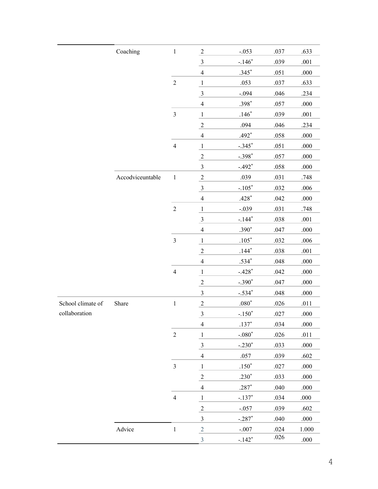|                   | Coaching         | $\,1$                   | $\sqrt{2}$              | $-.053$     | .037   | .633   |
|-------------------|------------------|-------------------------|-------------------------|-------------|--------|--------|
|                   |                  |                         | $\mathfrak{Z}$          | $-.146*$    | .039   | .001   |
|                   |                  |                         | $\overline{4}$          | $.345*$     | .051   | .000   |
|                   |                  | $\overline{2}$          | $\mathbf{1}$            | .053        | .037   | .633   |
|                   |                  |                         | $\overline{\mathbf{3}}$ | $-.094$     | .046   | .234   |
|                   |                  |                         | $\overline{4}$          | $.398*$     | .057   | .000   |
|                   |                  | $\overline{\mathbf{3}}$ | $\mathbf{1}$            | $.146*$     | .039   | $.001$ |
|                   |                  |                         | $\sqrt{2}$              | .094        | .046   | .234   |
|                   |                  |                         | $\overline{4}$          | $.492*$     | .058   | .000   |
|                   |                  | $\overline{4}$          | $\mathbf{1}$            | $-.345*$    | .051   | .000   |
|                   |                  |                         | $\sqrt{2}$              | $-.398*$    | .057   | .000   |
|                   |                  |                         | $\overline{\mathbf{3}}$ | $-.492*$    | .058   | .000   |
|                   | Accodviceuntable | $\,1\,$                 | $\overline{c}$          | .039        | .031   | .748   |
|                   |                  |                         | $\mathfrak{Z}$          | $-.105*$    | .032   | .006   |
|                   |                  |                         | $\overline{4}$          | $.428*$     | .042   | .000   |
|                   |                  | $\overline{2}$          | $\mathbf{1}$            | $-.039$     | .031   | .748   |
|                   |                  |                         | $\overline{\mathbf{3}}$ | $-.144*$    | .038   | .001   |
|                   |                  |                         | $\overline{4}$          | $.390*$     | .047   | .000   |
|                   |                  | $\overline{3}$          | $\mathbf{1}$            | $.105*$     | .032   | .006   |
|                   |                  |                         | $\sqrt{2}$              | $.144*$     | .038   | .001   |
|                   |                  |                         | $\overline{4}$          | $.534*$     | .048   | .000   |
|                   |                  | $\overline{4}$          | $\mathbf{1}$            | $-.428*$    | .042   | .000   |
|                   |                  |                         | $\overline{2}$          | $-.390*$    | .047   | .000   |
|                   |                  |                         | $\overline{\mathbf{3}}$ | $-.534*$    | .048   | .000   |
| School climate of | Share            | $\,1\,$                 | $\overline{2}$          | $.080^\ast$ | $.026$ | $.011$ |
| collaboration     |                  |                         | $\overline{3}$          | $-.150*$    | .027   | .000   |
|                   |                  |                         | $\overline{4}$          | $.137*$     | .034   | .000   |
|                   |                  | $\sqrt{2}$              | $\mathbf{1}$            | $-.080*$    | .026   | .011   |
|                   |                  |                         | $\overline{\mathbf{3}}$ | $-.230*$    | .033   | .000   |
|                   |                  |                         | $\overline{4}$          | .057        | .039   | .602   |
|                   |                  | $\mathfrak{Z}$          | $\mathbf{1}$            | $.150*$     | .027   | .000   |
|                   |                  |                         | $\sqrt{2}$              | $.230*$     | .033   | .000   |
|                   |                  |                         | $\overline{4}$          | $.287*$     | .040   | .000   |
|                   |                  | $\overline{4}$          | $\mathbf{1}$            | $-.137*$    | .034   | $.000$ |
|                   |                  |                         | $\overline{2}$          | $-.057$     | .039   | .602   |
|                   |                  |                         | $\overline{\mathbf{3}}$ | $-.287*$    | .040   | .000   |
|                   | Advice           | $\,1\,$                 | $\overline{2}$          | $-.007$     | .024   | 1.000  |
|                   |                  |                         | $\overline{3}$          | $-.142*$    | $.026$ | .000   |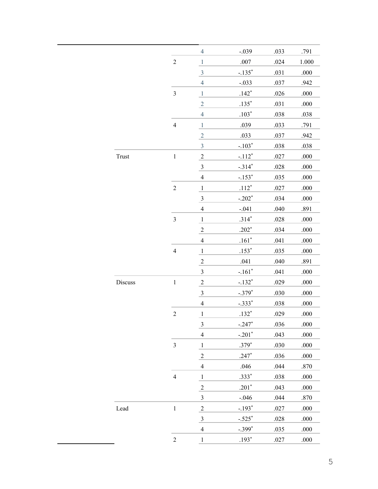|         |                | $\overline{4}$          | $-.039$  | .033 | .791  |
|---------|----------------|-------------------------|----------|------|-------|
|         | $\sqrt{2}$     | $\,1\,$                 | .007     | .024 | 1.000 |
|         |                | $\overline{\mathbf{3}}$ | $-.135*$ | .031 | .000  |
|         |                | $\overline{4}$          | $-.033$  | .037 | .942  |
|         | $\mathfrak{Z}$ | $\mathbf{1}$            | $.142*$  | .026 | .000  |
|         |                | $\overline{2}$          | $.135*$  | .031 | .000  |
|         |                | $\overline{4}$          | $.103*$  | .038 | .038  |
|         | $\overline{4}$ | $\,1\,$                 | .039     | .033 | .791  |
|         |                | $\overline{2}$          | .033     | .037 | .942  |
|         |                | $\overline{3}$          | $-.103*$ | .038 | .038  |
| Trust   | $\,1\,$        | $\overline{2}$          | $-.112*$ | .027 | .000  |
|         |                | $\overline{\mathbf{3}}$ | $-.314*$ | .028 | .000  |
|         |                | $\overline{4}$          | $-.153*$ | .035 | .000  |
|         | $\sqrt{2}$     | $\,1\,$                 | $.112*$  | .027 | .000  |
|         |                | $\overline{\mathbf{3}}$ | $-.202*$ | .034 | .000  |
|         |                | $\overline{4}$          | $-.041$  | .040 | .891  |
|         | $\mathfrak z$  | $\mathbf{1}$            | $.314*$  | .028 | .000  |
|         |                | $\overline{2}$          | $.202*$  | .034 | .000  |
|         |                | $\overline{4}$          | $.161*$  | .041 | .000  |
|         | $\overline{4}$ | $\,1\,$                 | $.153*$  | .035 | .000  |
|         |                | $\overline{2}$          | .041     | .040 | .891  |
|         |                | $\mathfrak{Z}$          | $-.161*$ | .041 | .000  |
| Discuss | $\,1$          | $\overline{2}$          | $-.132*$ | .029 | .000  |
|         |                | $\overline{\mathbf{3}}$ | $-.379*$ | .030 | .000  |
|         |                | $\overline{4}$          | $-.333*$ | .038 | .000  |
|         | $\sqrt{2}$     | $\,1\,$                 | $.132*$  | .029 | .000  |
|         |                | $\overline{\mathbf{3}}$ | $-.247*$ | .036 | .000  |
|         |                | $\overline{4}$          | $-.201*$ | .043 | .000  |
|         | $\mathfrak{Z}$ | $\mathbf{1}$            | $.379*$  | .030 | .000  |
|         |                | $\overline{c}$          | $.247*$  | .036 | .000  |
|         |                | $\overline{4}$          | .046     | .044 | .870  |
|         | $\overline{4}$ | $1\,$                   | $.333*$  | .038 | .000  |
|         |                | $\sqrt{2}$              | $.201*$  | .043 | .000  |
|         |                | $\mathfrak{Z}$          | $-.046$  | .044 | .870  |
| Lead    | $\,1$          | $\overline{2}$          | $-.193*$ | .027 | .000  |
|         |                | $\overline{\mathbf{3}}$ | $-.525*$ | .028 | .000  |
|         |                | $\overline{4}$          | $-.399*$ | .035 | .000  |
|         | $\sqrt{2}$     | $\mathbf{1}$            | $.193*$  | .027 | .000  |
|         |                |                         |          |      |       |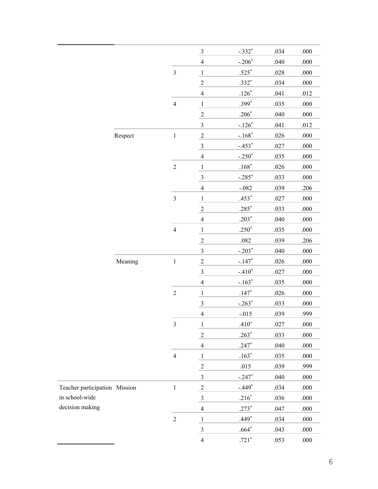|                               |         |                         | $\frac{3}{2}$           | $-.332*$             | .034 | .000     |
|-------------------------------|---------|-------------------------|-------------------------|----------------------|------|----------|
|                               |         |                         | $\overline{4}$          | $-.206*$             | .040 | .000     |
|                               |         | $\mathfrak{Z}$          | $\mathbf{1}$            | $.525*$              | .028 | .000     |
|                               |         |                         | $\overline{2}$          | $.332*$              | .034 | .000     |
|                               |         |                         | $\overline{4}$          | $.126*$              | .041 | .012     |
|                               |         | $\overline{4}$          | $\mathbf{1}$            | $.399*$              | .035 | .000     |
|                               |         |                         | $\overline{2}$          | $.206*$              | .040 | .000     |
|                               |         |                         | $\overline{3}$          | $-.126*$             | .041 | .012     |
|                               | Respect | $\,1\,$                 | $\overline{2}$          | $-.168*$             | .026 | .000     |
|                               |         |                         | $\frac{3}{2}$           | $-.453*$             | .027 | .000     |
|                               |         |                         | $\overline{4}$          | $-.250*$             | .035 | .000     |
|                               |         | $\overline{2}$          | $\mathbf{1}$            | $.168*$              | .026 | .000     |
|                               |         |                         | $\overline{\mathbf{3}}$ | $-.285$ <sup>*</sup> | .033 | .000     |
|                               |         |                         | $\overline{4}$          | $-.082$              | .039 | .206     |
|                               |         | $\mathfrak{Z}$          | $\mathbf{1}$            | $.453*$              | .027 | .000     |
|                               |         |                         | $\overline{2}$          | $.285*$              | .033 | .000     |
|                               |         |                         | $\overline{4}$          | $.203*$              | .040 | .000     |
|                               |         | $\overline{4}$          | $\mathbf{1}$            | $.250*$              | .035 | .000     |
|                               |         |                         | $\overline{2}$          | .082                 | .039 | .206     |
|                               |         |                         | $\mathfrak{Z}$          | $-.203*$             | .040 | .000     |
|                               | Meaning | $\,1\,$                 | $\overline{2}$          | $-.147*$             | .026 | .000     |
|                               |         |                         | $\frac{3}{2}$           | $-.410*$             | .027 | .000     |
|                               |         |                         | $\overline{4}$          | $-.163*$             | .035 | .000     |
|                               |         | $\overline{2}$          | $\overline{1}$          | $.147*$              | .026 | .000     |
|                               |         |                         | $\overline{\mathbf{3}}$ | $-.263*$             | .033 | .000     |
|                               |         |                         | $\overline{4}$          | $-.015$              | .039 | .999     |
|                               |         | $\overline{\mathbf{3}}$ | $\mathbf{1}$            | $.410*$              | .027 | .000     |
|                               |         |                         | $\sqrt{2}$              | $.263*$              | .033 | $.000\,$ |
|                               |         |                         | $\overline{4}$          | $.247*$              | .040 | .000     |
|                               |         | $\overline{4}$          | $\mathbf{1}$            | $.163*$              | .035 | .000     |
|                               |         |                         | $\sqrt{2}$              | .015                 | .039 | .999     |
|                               |         |                         | $\overline{3}$          | $-.247*$             | .040 | .000     |
| Teacher participation Mission |         | $\,1$                   | $\overline{c}$          | $-.449*$             | .034 | .000     |
| in school-wide                |         |                         | $\overline{\mathbf{3}}$ | $.216*$              | .036 | $.000\,$ |
| decision making               |         |                         | $\overline{4}$          | $.273*$              | .047 | $.000\,$ |
|                               |         | $\overline{2}$          | $\mathbf{1}$            | $.449*$              | .034 | .000     |
|                               |         |                         | $\overline{\mathbf{3}}$ | $.664*$              | .043 | $.000\,$ |
|                               |         |                         | $\overline{4}$          | $.721*$              | .053 | .000     |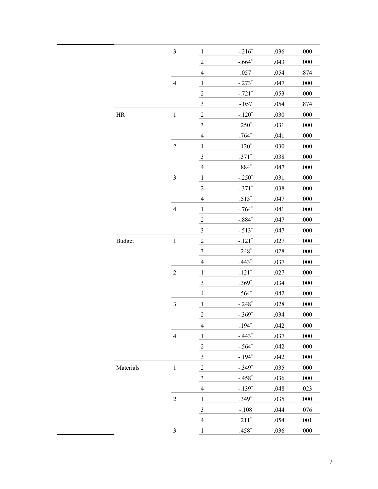|               | $\overline{\mathbf{3}}$ | $\overline{1}$          | $-216^*$ | .036 | .000 |
|---------------|-------------------------|-------------------------|----------|------|------|
|               |                         | $\overline{c}$          | $-.664*$ | .043 | .000 |
|               |                         | $\overline{4}$          | .057     | .054 | .874 |
|               | $\overline{4}$          | $\mathbf{1}$            | $-.273*$ | .047 | .000 |
|               |                         | $\frac{2}{\sqrt{2}}$    | $-.721*$ | .053 | .000 |
|               |                         | $\overline{\mathbf{3}}$ | $-.057$  | .054 | .874 |
| $\rm{HR}$     | $\,1$                   | $\overline{2}$          | $-.120*$ | .030 | .000 |
|               |                         | $\overline{\mathbf{3}}$ | $.250*$  | .031 | .000 |
|               |                         | $\overline{4}$          | $.764*$  | .041 | .000 |
|               | $\overline{c}$          | $\overline{1}$          | $.120*$  | .030 | .000 |
|               |                         | $\overline{\mathbf{3}}$ | $.371*$  | .038 | .000 |
|               |                         | $\overline{4}$          | $.884*$  | .047 | .000 |
|               | 3                       | $\overline{1}$          | $-.250*$ | .031 | .000 |
|               |                         | $\overline{c}$          | $-.371*$ | .038 | .000 |
|               |                         | $\overline{4}$          | $.513*$  | .047 | .000 |
|               | $\overline{4}$          | $\mathbf{1}$            | $-.764*$ | .041 | .000 |
|               |                         | $\overline{2}$          | $-.884*$ | .047 | .000 |
|               |                         | $\overline{\mathbf{3}}$ | $-.513*$ | .047 | .000 |
| <b>Budget</b> | $\,1\,$                 | $\overline{2}$          | $-.121*$ | .027 | .000 |
|               |                         | $\overline{\mathbf{3}}$ | $.248*$  | .028 | .000 |
|               |                         | $\overline{4}$          | $.443*$  | .037 | .000 |
|               | $\overline{2}$          | $\mathbf{1}$            | $.121*$  | .027 | .000 |
|               |                         | $\overline{\mathbf{3}}$ | $.369*$  | .034 | .000 |
|               |                         | $\overline{4}$          | $.564*$  | .042 | .000 |
|               | 3                       | $\mathbf{1}$            | $-.248*$ | .028 | .000 |
|               |                         | $\overline{c}$          | $-.369*$ | .034 | .000 |
|               |                         | $\overline{4}$          | $.194*$  | .042 | .000 |
|               | $\overline{4}$          | $\,1\,$                 | $-.443*$ | .037 | .000 |
|               |                         | $\overline{c}$          | $-.564*$ | .042 | .000 |
|               |                         | $\mathfrak{Z}$          | $-.194*$ | .042 | .000 |
| Materials     | $\,1\,$                 | $\overline{2}$          | $-.349*$ | .035 | .000 |
|               |                         | $\overline{\mathbf{3}}$ | $-.458*$ | .036 | .000 |
|               |                         | $\overline{4}$          | $-.139*$ | .048 | .023 |
|               | $\overline{c}$          | $\mathbf{1}$            | $.349*$  | .035 | .000 |
|               |                         | $\overline{\mathbf{3}}$ | $-.108$  | .044 | .076 |
|               |                         | $\overline{4}$          | $.211*$  | .054 | .001 |
|               | $\mathfrak{Z}$          | $\mathbf{1}$            | $.458*$  | .036 | .000 |